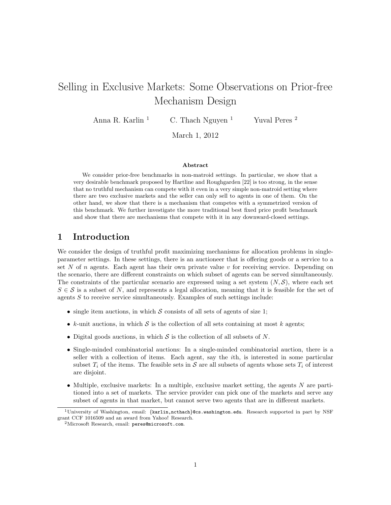# Selling in Exclusive Markets: Some Observations on Prior-free Mechanism Design

Anna R. Karlin  $\frac{1}{2}$  C. Thach Nguyen  $\frac{1}{2}$  Yuval Peres  $\frac{2}{2}$ 

March 1, 2012

#### Abstract

We consider prior-free benchmarks in non-matroid settings. In particular, we show that a very desirable benchmark proposed by Hartline and Roughgarden [22] is too strong, in the sense that no truthful mechanism can compete with it even in a very simple non-matroid setting where there are two exclusive markets and the seller can only sell to agents in one of them. On the other hand, we show that there is a mechanism that competes with a symmetrized version of this benchmark. We further investigate the more traditional best fixed price profit benchmark and show that there are mechanisms that compete with it in any downward-closed settings.

# 1 Introduction

We consider the design of truthful profit maximizing mechanisms for allocation problems in singleparameter settings. In these settings, there is an auctioneer that is offering goods or a service to a set N of n agents. Each agent has their own private value v for receiving service. Depending on the scenario, there are different constraints on which subset of agents can be served simultaneously. The constraints of the particular scenario are expressed using a set system  $(N, \mathcal{S})$ , where each set  $S \in \mathcal{S}$  is a subset of N, and represents a legal allocation, meaning that it is feasible for the set of agents  $S$  to receive service simultaneously. Examples of such settings include:

- single item auctions, in which  $S$  consists of all sets of agents of size 1;
- k-unit auctions, in which  $S$  is the collection of all sets containing at most k agents;
- Digital goods auctions, in which  $S$  is the collection of all subsets of  $N$ .
- Single-minded combinatorial auctions: In a single-minded combinatorial auction, there is a seller with a collection of items. Each agent, say the ith, is interested in some particular subset  $T_i$  of the items. The feasible sets in S are all subsets of agents whose sets  $T_i$  of interest are disjoint.
- Multiple, exclusive markets: In a multiple, exclusive market setting, the agents N are partitioned into a set of markets. The service provider can pick one of the markets and serve any subset of agents in that market, but cannot serve two agents that are in different markets.

<sup>1</sup>University of Washington, email: {karlin,ncthach}@cs.washington.edu. Research supported in part by NSF grant CCF 1016509 and an award from Yahoo! Research.

 $2$ Microsoft Research, email: peres@microsoft.com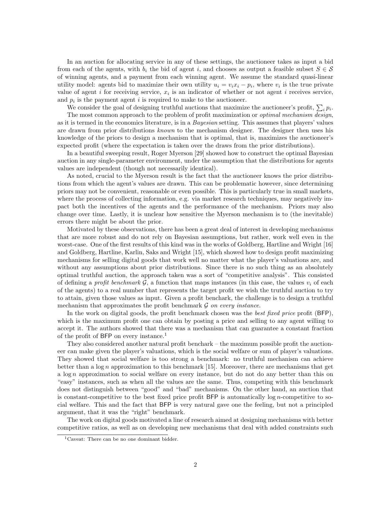In an auction for allocating service in any of these settings, the auctioneer takes as input a bid from each of the agents, with  $b_i$  the bid of agent i, and chooses as output a feasible subset  $S \in \mathcal{S}$ of winning agents, and a payment from each winning agent. We assume the standard quasi-linear utility model: agents bid to maximize their own utility  $u_i = v_i x_i - p_i$ , where  $v_i$  is the true private value of agent i for receiving service,  $x_i$  is an indicator of whether or not agent i receives service, and  $p_i$  is the payment agent i is required to make to the auctioneer.

We consider the goal of designing truthful auctions that maximize the auctioneer's profit,  $\sum_i p_i$ . The most common approach to the problem of profit maximization or optimal mechanism design, as it is termed in the economics literature, is in a Bayesian setting. This assumes that players' values are drawn from prior distributions known to the mechanism designer. The designer then uses his knowledge of the priors to design a mechanism that is optimal, that is, maximizes the auctioneer's expected profit (where the expectation is taken over the draws from the prior distributions).

In a beautiful sweeping result, Roger Myerson [29] showed how to construct the optimal Bayesian auction in any single-parameter environment, under the assumption that the distributions for agents values are independent (though not necessarily identical).

As noted, crucial to the Myerson result is the fact that the auctioneer knows the prior distributions from which the agent's values are drawn. This can be problematic however, since determining priors may not be convenient, reasonable or even possible. This is particularly true in small markets, where the process of collecting information, e.g. via market research techniques, may negatively impact both the incentives of the agents and the performance of the mechanism. Priors may also change over time. Lastly, it is unclear how sensitive the Myerson mechanism is to (the inevitable) errors there might be about the prior.

Motivated by these observations, there has been a great deal of interest in developing mechanisms that are more robust and do not rely on Bayesian assumptions, but rather, work well even in the worst-case. One of the first results of this kind was in the works of Goldberg, Hartline and Wright [16] and Goldberg, Hartline, Karlin, Saks and Wright [15], which showed how to design profit maximizing mechanisms for selling digital goods that work well no matter what the player's valuations are, and without any assumptions about prior distributions. Since there is no such thing as an absolutely optimal truthful auction, the approach taken was a sort of "competitive analysis". This consisted of defining a *profit benchmark*  $\mathcal{G}$ , a function that maps instances (in this case, the values  $v_i$  of each of the agents) to a real number that represents the target profit we wish the truthful auction to try to attain, given those values as input. Given a profit benchark, the challenge is to design a truthful mechanism that approximates the profit benchmark  $\mathcal G$  on every instance.

In the work on digital goods, the profit benchmark chosen was the *best fixed price* profit (BFP), which is the maximum profit one can obtain by posting a price and selling to any agent willing to accept it. The authors showed that there was a mechanism that can guarantee a constant fraction of the profit of BFP on every instance.<sup>1</sup>

They also considered another natural profit benchark – the maximum possible profit the auctioneer can make given the player's valuations, which is the social welfare or sum of player's valuations. They showed that social welfare is too strong a benchmark: no truthful mechanism can achieve better than a  $\log n$  approximation to this benchmark [15]. Moreover, there are mechanisms that get a  $\log n$  approximation to social welfare on every instance, but do not do any better than this on "easy" instances, such as when all the values are the same. Thus, competing with this benchmark does not distinguish between "good" and "bad" mechanisms. On the other hand, an auction that is constant-competitive to the best fixed price profit  $BFP$  is automatically  $\log n$ -competitive to social welfare. This and the fact that BFP is very natural gave one the feeling, but not a principled argument, that it was the "right" benchmark.

The work on digital goods motivated a line of research aimed at designing mechanisms with better competitive ratios, as well as on developing new mechanisms that deal with added constraints such

<sup>1</sup>Caveat: There can be no one dominant bidder.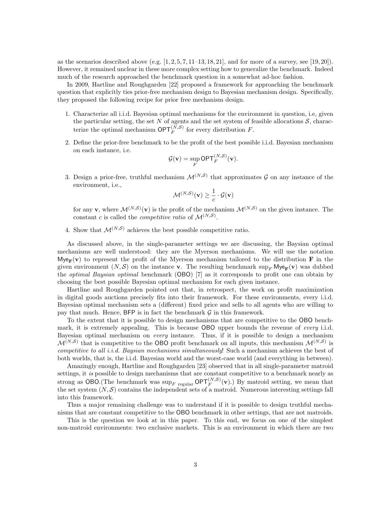as the scenarios described above (e.g.  $[1, 2, 5, 7, 11-13, 18, 21]$ , and for more of a survey, see  $[19, 20]$ ). However, it remained unclear in these more complex setting how to generalize the benchmark. Indeed much of the research approached the benchmark question in a somewhat ad-hoc fashion.

In 2009, Hartline and Roughgarden [22] proposed a framework for approaching the benchmark question that explicitly ties prior-free mechanism design to Bayesian mechanism design. Specifically, they proposed the following recipe for prior free mechanism design.

- 1. Characterize all i.i.d. Bayesian optimal mechanisms for the environment in question, i.e, given the particular setting, the set N of agents and the set system of feasible allocations  $S$ , characterize the optimal mechanism  $\mathsf{OPT}_F^{(N,S)}$  for every distribution F.
- 2. Define the prior-free benchmark to be the profit of the best possible i.i.d. Bayesian mechanism on each instance, i.e.

$$
\mathcal{G}(\mathbf{v}) = \sup_F \mathsf{OPT}_F^{(N,S)}(\mathbf{v}).
$$

3. Design a prior-free, truthful mechanism  $\mathcal{M}^{(N, \mathcal{S})}$  that approximates  $\mathcal G$  on any instance of the environment, i.e.,

$$
\mathcal{M}^{(N,S)}(\mathbf{v}) \geq \frac{1}{c} \cdot \mathcal{G}(\mathbf{v})
$$

for any **v**, where  $\mathcal{M}^{(N,S)}(\mathbf{v})$  is the profit of the mechanism  $\mathcal{M}^{(N,S)}$  on the given instance. The constant c is called the *competitive ratio* of  $\mathcal{M}^{(N, \mathcal{S})}$ .

4. Show that  $\mathcal{M}^{(N,S)}$  achieves the best possible competitive ratio.

As discussed above, in the single-parameter settings we are discussing, the Baysian optimal mechanisms are well understood: they are the Myerson mechanisms. We will use the notation  $Mye_{\mathbf{F}}(\mathbf{v})$  to represent the profit of the Myerson mechanism tailored to the distribution **F** in the given environment  $(N, S)$  on the instance v. The resulting benchmark sup<sub>F</sub> Mye<sub>F</sub>(v) was dubbed the optimal Baysian optimal benchmark (OBO) [7] as it corresponds to profit one can obtain by choosing the best possible Bayesian optimal mechanism for each given instance.

Hartline and Roughgarden pointed out that, in retrospect, the work on profit maximization in digital goods auctions precisely fits into their framework. For these environments, every i.i.d. Bayesian optimal mechanism sets a (different) fixed price and sells to all agents who are willing to pay that much. Hence,  $BFP$  is in fact the benchmark  $G$  in this framework.

To the extent that it is possible to design mechanisms that are competitive to the OBO benchmark, it is extremely appealing. This is because OBO upper bounds the revenue of *every* i.i.d. Bayesian optimal mechanism on every instance. Thus, if it is possible to design a mechanism  $\mathcal{M}^{(N,S)}$  that is competitive to the OBO profit benchmark on all inputs, this mechanism  $\mathcal{M}^{(N,S)}$  is competitive to all *i.i.d.* Baysian mechanisms simultaneously! Such a mechanism achieves the best of both worlds, that is, the i.i.d. Bayesian world and the worst-case world (and everything in between).

Amazingly enough, Hartline and Roughgarden [23] observed that in all single-parameter matroid settings, it is possible to design mechanisms that are constant competitive to a benchmark nearly as strong as OBO.(The benchmark was  $\sup_{F}$  regular  $\mathsf{OPT}_{F}^{(N, S)}(\mathbf{v})$ .) By matroid setting, we mean that the set system  $(N, \mathcal{S})$  contains the independent sets of a matroid. Numerous interesting settings fall into this framework.

Thus a major remaining challenge was to understand if it is possible to design truthful mechanisms that are constant competitive to the OBO benchmark in other settings, that are not matroids.

This is the question we look at in this paper. To this end, we focus on one of the simplest non-matroid environments: two exclusive markets. This is an environment in which there are two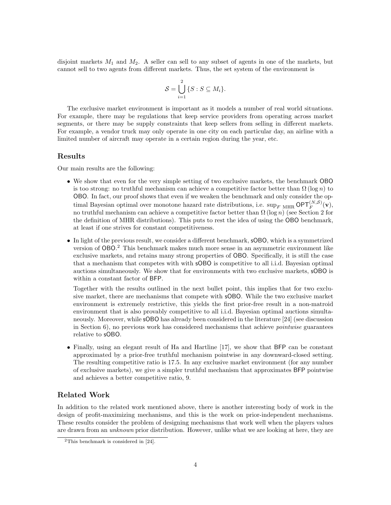disjoint markets  $M_1$  and  $M_2$ . A seller can sell to any subset of agents in one of the markets, but cannot sell to two agents from different markets. Thus, the set system of the environment is

$$
\mathcal{S} = \bigcup_{i=1}^{2} \{ S : S \subseteq M_i \}.
$$

The exclusive market environment is important as it models a number of real world situations. For example, there may be regulations that keep service providers from operating across market segments, or there may be supply constraints that keep sellers from selling in different markets. For example, a vendor truck may only operate in one city on each particular day, an airline with a limited number of aircraft may operate in a certain region during the year, etc.

#### Results

Our main results are the following:

- We show that even for the very simple setting of two exclusive markets, the benchmark OBO is too strong: no truthful mechanism can achieve a competitive factor better than  $\Omega(\log n)$  to OBO. In fact, our proof shows that even if we weaken the benchmark and only consider the optimal Bayesian optimal over monotone hazard rate distributions, i.e.  $\sup_{F} \inf_{MHR} \mathsf{OPT}_F^{(N,S)}(\mathbf{v}),$ no truthful mechanism can achieve a competitive factor better than  $\Omega(\log n)$  (see Section 2 for the definition of MHR distributions). This puts to rest the idea of using the OBO benchmark, at least if one strives for constant competitiveness.
- In light of the previous result, we consider a different benchmark, sOBO, which is a symmetrized version of OBO. <sup>2</sup> This benchmark makes much more sense in an asymmetric environment like exclusive markets, and retains many strong properties of OBO. Specifically, it is still the case that a mechanism that competes with with sOBO is competitive to all i.i.d. Bayesian optimal auctions simultaneously. We show that for environments with two exclusive markets, sOBO is within a constant factor of BFP.

Together with the results outlined in the next bullet point, this implies that for two exclusive market, there are mechanisms that compete with sOBO. While the two exclusive market environment is extremely restrictive, this yields the first prior-free result in a non-matroid environment that is also provably competitive to all i.i.d. Bayesian optimal auctions simultaneously. Moreover, while sOBO has already been considered in the literature [24] (see discussion in Section 6), no previous work has considered mechanisms that achieve pointwise guarantees relative to sOBO.

• Finally, using an elegant result of Ha and Hartline [17], we show that BFP can be constant approximated by a prior-free truthful mechanism pointwise in any downward-closed setting. The resulting competitive ratio is 17.5. In any exclusive market environment (for any number of exclusive markets), we give a simpler truthful mechanism that approximates BFP pointwise and achieves a better competitive ratio, 9.

#### Related Work

In addition to the related work mentioned above, there is another interesting body of work in the design of profit-maximizing mechanisms, and this is the work on prior-independent mechanisms. These results consider the problem of designing mechanisms that work well when the players values are drawn from an *unknown* prior distribution. However, unlike what we are looking at here, they are

<sup>2</sup>This benchmark is considered in [24].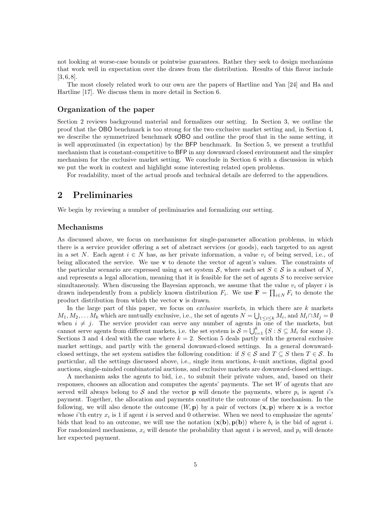not looking at worse-case bounds or pointwise guarantees. Rather they seek to design mechanisms that work well in expectation over the draws from the distribution. Results of this flavor include [3, 6, 8].

The most closely related work to our own are the papers of Hartline and Yan [24] and Ha and Hartline [17]. We discuss them in more detail in Section 6.

#### Organization of the paper

Section 2 reviews background material and formalizes our setting. In Section 3, we outline the proof that the OBO benchmark is too strong for the two exclusive market setting and, in Section 4, we describe the symmetrized benchmark sOBO and outline the proof that in the same setting, it is well approximated (in expectation) by the BFP benchmark. In Section 5, we present a truthful mechanism that is constant-competitive to BFP in any downward closed environment and the simpler mechanism for the exclusive market setting. We conclude in Section 6 with a discussion in which we put the work in context and highlight some interesting related open problems.

For readability, most of the actual proofs and technical details are deferred to the appendices.

# 2 Preliminaries

We begin by reviewing a number of preliminaries and formalizing our setting.

#### Mechanisms

As discussed above, we focus on mechanisms for single-parameter allocation problems, in which there is a service provider offering a set of abstract services (or goods), each targeted to an agent in a set N. Each agent  $i \in N$  has, as her private information, a value  $v_i$  of being served, i.e., of being allocated the service. We use  $\bf{v}$  to denote the vector of agent's values. The constraints of the particular scenario are expressed using a set system S, where each set  $S \in S$  is a subset of N, and represents a legal allocation, meaning that it is feasible for the set of agents  $S$  to receive service simultaneously. When discussing the Bayesian approach, we assume that the value  $v_i$  of player i is drawn independently from a publicly known distribution  $F_i$ . We use  $\mathbf{F} = \prod_{i \in N} F_i$  to denote the product distribution from which the vector v is drawn.

In the large part of this paper, we focus on *exclusive markets*, in which there are  $k$  markets  $M_1, M_2, \ldots, M_k$  which are mutually exclusive, i.e., the set of agents  $N = \bigcup_{1 \leq i \leq k} M_i$ , and  $M_i \cap M_j = \emptyset$ when  $i \neq j$ . The service provider can serve any number of agents in one of the markets, but cannot serve agents from different markets, i.e. the set system is  $S = \bigcup_{i=1}^{k} \{S : S \subseteq M_i \text{ for some } i\}.$ Sections 3 and 4 deal with the case where  $k = 2$ . Section 5 deals partly with the general exclusive market settings, and partly with the general downward-closed settings. In a general downwardclosed settings, the set system satisfies the following condition: if  $S \in \mathcal{S}$  and  $T \subseteq S$  then  $T \in \mathcal{S}$ . In particular, all the settings discussed above, i.e., single item auctions, k-unit auctions, digital good auctions, single-minded combinatorial auctions, and exclusive markets are downward-closed settings.

A mechanism asks the agents to bid, i.e., to submit their private values, and, based on their responses, chooses an allocation and computes the agents' payments. The set W of agents that are served will always belong to  $S$  and the vector **p** will denote the payments, where  $p_i$  is agent i's payment. Together, the allocation and payments constitute the outcome of the mechanism. In the following, we will also denote the outcome  $(W, \mathbf{p})$  by a pair of vectors  $(\mathbf{x}, \mathbf{p})$  where **x** is a vector whose i'th entry  $x_i$  is 1 if agent i is served and 0 otherwise. When we need to emphasize the agents' bids that lead to an outcome, we will use the notation  $(\mathbf{x}(\mathbf{b}), \mathbf{p}(\mathbf{b}))$  where  $b_i$  is the bid of agent i. For randomized mechanisms,  $x_i$  will denote the probability that agent i is served, and  $p_i$  will denote her expected payment.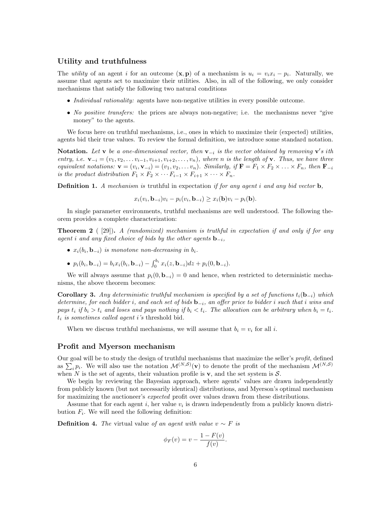#### Utility and truthfulness

The *utility* of an agent *i* for an outcome  $(\mathbf{x}, \mathbf{p})$  of a mechanism is  $u_i = v_i x_i - p_i$ . Naturally, we assume that agents act to maximize their utilities. Also, in all of the following, we only consider mechanisms that satisfy the following two natural conditions

- Individual rationality: agents have non-negative utilities in every possible outcome.
- No positive transfers: the prices are always non-negative; i.e. the mechanisms never "give money" to the agents.

We focus here on truthful mechanisms, i.e., ones in which to maximize their (expected) utilities, agents bid their true values. To review the formal definition, we introduce some standard notation.

**Notation.** Let **v** be a one-dimensional vector, then  $\mathbf{v}_{-i}$  is the vector obtained by removing  $\mathbf{v}'s$  ith entry, i.e.  $\mathbf{v}_{-i} = (v_1, v_2, \dots v_{i-1}, v_{i+1}, v_{i+2}, \dots, v_n)$ , where n is the length of  $\mathbf{v}$ . Thus, we have three equivalent notations:  $\mathbf{v} = (v_i, \mathbf{v}_{-i}) = (v_1, v_2, \dots, v_n)$ . Similarly, if  $\mathbf{F} = F_1 \times F_2 \times \dots \times F_n$ , then  $\mathbf{F}_{-i}$ is the product distribution  $F_1 \times F_2 \times \cdots F_{i-1} \times F_{i+1} \times \cdots \times F_n$ .

**Definition 1.** A mechanism is truthful in expectation if for any agent i and any bid vector  $\mathbf{b}$ ,

$$
x_i(v_i, \mathbf{b}_{-i})v_i - p_i(v_i, \mathbf{b}_{-i}) \ge x_i(\mathbf{b})v_i - p_i(\mathbf{b}).
$$

In single parameter environments, truthful mechanisms are well understood. The following theorem provides a complete characterization:

**Theorem 2** ( [29]). A (randomized) mechanism is truthful in expectation if and only if for any agent i and any fixed choice of bids by the other agents  $\mathbf{b}_{-i}$ ,

- $x_i(b_i, \mathbf{b}_{-i})$  is monotone non-decreasing in  $b_i$ .
- $p_i(b_i, \mathbf{b}_{-i}) = b_i x_i(b_i, \mathbf{b}_{-i}) \int_0^{b_i} x_i(z, \mathbf{b}_{-i}) dz + p_i(0, \mathbf{b}_{-i}).$

We will always assume that  $p_i(0, \mathbf{b}_{-i}) = 0$  and hence, when restricted to deterministic mechanisms, the above theorem becomes:

**Corollary 3.** Any deterministic truthful mechanism is specified by a set of functions  $t_i(\mathbf{b}_{-i})$  which determine, for each bidder i, and each set of bids  $\mathbf{b}_{-i}$ , an offer price to bidder i such that i wins and pays  $t_i$  if  $b_i > t_i$  and loses and pays nothing if  $b_i < t_i$ . The allocation can be arbitrary when  $b_i = t_i$ .  $t_i$  is sometimes called agent i's threshold bid.

When we discuss truthful mechanisms, we will assume that  $b_i = v_i$  for all i.

#### Profit and Myerson mechanism

Our goal will be to study the design of truthful mechanisms that maximize the seller's profit, defined as  $\sum_i p_i$ . We will also use the notation  $\mathcal{M}^{(N,S)}(\mathbf{v})$  to denote the profit of the mechanism  $\mathcal{M}^{(N,S)}$ when N is the set of agents, their valuation profile is  $\bf{v}$ , and the set system is  $\cal{S}$ .

We begin by reviewing the Bayesian approach, where agents' values are drawn independently from publicly known (but not necessarily identical) distributions, and Myerson's optimal mechanism for maximizing the auctioneer's *expected* profit over values drawn from these distributions.

Assume that for each agent i, her value  $v_i$  is drawn independently from a publicly known distribution  $F_i$ . We will need the following definition:

**Definition 4.** The virtual value of an agent with value  $v \sim F$  is

$$
\phi_F(v) = v - \frac{1 - F(v)}{f(v)}.
$$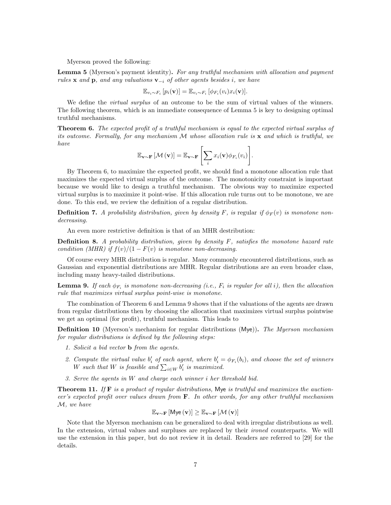Myerson proved the following:

Lemma 5 (Myerson's payment identity). For any truthful mechanism with allocation and payment rules x and p, and any valuations  $v_{-i}$  of other agents besides i, we have

$$
\mathbb{E}_{v_i \sim F_i} [p_i(\mathbf{v})] = \mathbb{E}_{v_i \sim F_i} [\phi_{F_i}(v_i) x_i(\mathbf{v})].
$$

We define the *virtual surplus* of an outcome to be the sum of virtual values of the winners. The following theorem, which is an immediate consequence of Lemma 5 is key to designing optimal truthful mechanisms.

**Theorem 6.** The expected profit of a truthful mechanism is equal to the expected virtual surplus of its outcome. Formally, for any mechanism  $M$  whose allocation rule is  $x$  and which is truthful, we have

$$
\mathbb{E}_{\mathbf{v}\sim\mathbf{F}}\left[\mathcal{M}\left(\mathbf{v}\right)\right]=\mathbb{E}_{\mathbf{v}\sim\mathbf{F}}\left[\sum_{i}x_i(\mathbf{v})\phi_{F_i}(v_i)\right].
$$

By Theorem 6, to maximize the expected profit, we should find a monotone allocation rule that maximizes the expected virtual surplus of the outcome. The monotonicity constraint is important because we would like to design a truthful mechanism. The obvious way to maximize expected virtual surplus is to maximize it point-wise. If this allocation rule turns out to be monotone, we are done. To this end, we review the definition of a regular distribution.

**Definition 7.** A probability distribution, given by density F, is regular if  $\phi_F(v)$  is monotone nondecreasing.

An even more restrictive definition is that of an MHR destribution:

**Definition 8.** A probability distribution, given by density  $F$ , satisfies the monotone hazard rate condition (MHR) if  $f(v)/(1 - F(v))$  is monotone non-decreasing.

Of course every MHR distribution is regular. Many commonly encountered distributions, such as Gaussian and exponential distributions are MHR. Regular distributions are an even broader class, including many heavy-tailed distributions.

**Lemma 9.** If each  $\phi_{F_i}$  is monotone non-decreasing (i.e.,  $F_i$  is regular for all i), then the allocation rule that maximizes virtual surplus point-wise is monotone.

The combination of Theorem 6 and Lemma 9 shows that if the valuations of the agents are drawn from regular distributions then by choosing the allocation that maximizes virtual surplus pointwise we get an optimal (for profit), truthful mechanism. This leads to

**Definition 10** (Myerson's mechanism for regular distributions (Mye)). The Myerson mechanism for regular distributions is defined by the following steps:

- 1. Solicit a bid vector b from the agents.
- 2. Compute the virtual value  $b'_i$  of each agent, where  $b'_i = \phi_{F_i}(b_i)$ , and choose the set of winners W such that W is feasible and  $\sum_{i\in W} b_i'$  is maximized.
- 3. Serve the agents in W and charge each winner i her threshold bid.

**Theorem 11.** If  $\mathbf{F}$  is a product of regular distributions, Mye is truthful and maximizes the auctioneer's expected profit over values drawn from  $\bf{F}$ . In other words, for any other truthful mechanism M, we have

$$
\mathbb{E}_{\mathbf{v} \sim \mathbf{F}}\left[\mathsf{Mye}\left(\mathbf{v}\right)\right] \geq \mathbb{E}_{\mathbf{v} \sim \mathbf{F}}\left[\mathcal{M}\left(\mathbf{v}\right)\right]
$$

Note that the Myerson mechanism can be generalized to deal with irregular distributions as well. In the extension, virtual values and surpluses are replaced by their *ironed* counterparts. We will use the extension in this paper, but do not review it in detail. Readers are referred to [29] for the details.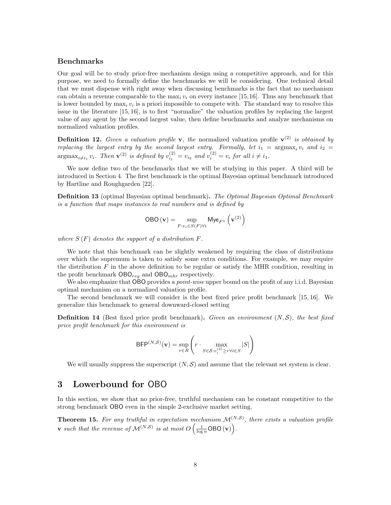## Benchmarks

Our goal will be to study prior-free mechanism design using a competitive approach, and for this purpose, we need to formally define the benchmarks we will be considering. One technical detail that we must dispense with right away when discussing benchmarks is the fact that no mechanism can obtain a revenue comparable to the  $\max_i v_i$  on every instance [15,16]. Thus any benchmark that is lower bounded by  $\max_i v_i$  is a priori impossible to compete with. The standard way to resolve this issue in the literature [15, 16], is to first "normalize" the valuation profiles by replacing the largest value of any agent by the second largest value, then define benchmarks and analyze mechanisms on normalized valuation profiles.

**Definition 12.** Given a valuation profile **v**, the normalized valuation profile  $\mathbf{v}^{(2)}$  is obtained by replacing the largest entry by the second largest entry. Formally, let  $i_1 = \argmax_i v_i$  and  $i_2 =$  $\operatorname{argmax}_{i \neq i_1} v_i$ . Then  $\mathbf{v}^{(2)}$  is defined by  $v_{i_1}^{(2)} = v_{i_2}$  and  $v_i^{(2)} = v_i$  for all  $i \neq i_1$ .

We now define two of the benchmarks that we will be studying in this paper. A third will be introduced in Section 4. The first benchmark is the optimal Bayesian optimal benchmark introduced by Hartline and Roughgarden [22].

**Definition 13** (optimal Bayesian optimal benchmark). The Optimal Bayesian Optimal Benchmark is a function that maps instances to real numbers and is defined by

$$
\text{OBO}(\mathbf{v}) = \sup_{F:v_i \in S(F)\forall i} \mathsf{Mye}_{F^n}(\mathbf{v}^{(2)})
$$

where  $S(F)$  denotes the support of a distribution  $F$ .

We note that this benchmark can be slightly weakened by requiring the class of distributions over which the supremum is taken to satisfy some extra conditions. For example, we may require the distribution  $F$  in the above definition to be regular or satisfy the MHR condition, resulting in the profit benchmark  $\textsf{OBO}_{reg}$  and  $\textsf{OBO}_{mhr}$  respectively.

We also emphasize that OBO provides a *point-wise* upper bound on the profit of any i.i.d. Bayesian optimal mechanism on a normalized valuation profile.

The second benchmark we will consider is the best fixed price profit benchmark [15, 16]. We generalize this benchmark to general downward-closed setting

**Definition 14** (Best fixed price profit benchmark). Given an environment  $(N, \mathcal{S})$ , the best fixed price profit benchmark for this environment is

$$
\mathsf{BFP}^{(N,S)}(\mathbf{v}) = \sup_{r \in R} \left( r \cdot \max_{S \in \mathcal{S}: v_i^{(2)} \ge r \forall i \in S} |S| \right)
$$

We will usually suppress the superscript  $(N, \mathcal{S})$  and assume that the relevant set system is clear.

# 3 Lowerbound for OBO

In this section, we show that no prior-free, truthful mechanism can be constant competitive to the strong benchmark OBO even in the simple 2-exclusive market setting.

**Theorem 15.** For any truthful in expectation mechanism  $\mathcal{M}^{(N,S)}$ , there exists a valuation profile **v** such that the revenue of  $\mathcal{M}^{(N,S)}$  is at most  $O\left(\frac{1}{\log n} \textsf{OBO(v)}\right)$ .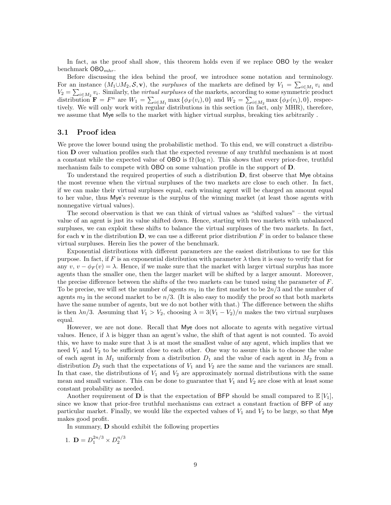In fact, as the proof shall show, this theorem holds even if we replace OBO by the weaker benchmark  $\mathsf{OBO}_{mhr}$ .

Before discussing the idea behind the proof, we introduce some notation and terminology. For an instance  $(M_1 \cup M_2, \mathcal{S}, \mathbf{v})$ , the *surpluses* of the markets are defined by  $V_1 = \sum_{i \in M_1} v_i$  and  $V_2 = \sum_{i \in M_2} v_i$ . Similarly, the *virtual surpluses* of the markets, according to some symmetric product  $V_2 = \sum_{i \in M_2} v_i$ . distribution  $\mathbf{F} = F^n$  are  $W_1 = \sum_{i \in M_1} \max \{\phi_F(v_i), 0\}$  and  $W_2 = \sum_{i \in M_2} \max \{\phi_F(v_i), 0\}$ , respectively. We will only work with regular distributions in this section (in fact, only MHR), therefore, we assume that Mye sells to the market with higher virtual surplus, breaking ties arbitrarily .

#### 3.1 Proof idea

We prove the lower bound using the probabilistic method. To this end, we will construct a distribution D over valuation profiles such that the expected revenue of any truthful mechanism is at most a constant while the expected value of OBO is  $\Omega(\log n)$ . This shows that every prior-free, truthful mechanism fails to compete with OBO on some valuation profile in the support of D.

To understand the required properties of such a distribution  $D$ , first observe that Mye obtains the most revenue when the virtual surpluses of the two markets are close to each other. In fact, if we can make their virtual surpluses equal, each winning agent will be charged an amount equal to her value, thus Mye's revenue is the surplus of the winning market (at least those agents with nonnegative virtual values).

The second observation is that we can think of virtual values as "shifted values" – the virtual value of an agent is just its value shifted down. Hence, starting with two markets with unbalanced surpluses, we can exploit these shifts to balance the virtual surpluses of the two markets. In fact, for each v in the distribution  $D$ , we can use a different prior distribution F in order to balance these virtual surpluses. Herein lies the power of the benchmark.

Exponential distributions with different parameters are the easiest distributions to use for this purpose. In fact, if F is an exponential distribution with parameter  $\lambda$  then it is easy to verify that for any  $v, v - \phi_F(v) = \lambda$ . Hence, if we make sure that the market with larger virtual surplus has more agents than the smaller one, then the larger market will be shifted by a larger amount. Moreover, the precise difference between the shifts of the two markets can be tuned using the parameter of  $F$ . To be precise, we will set the number of agents  $m_1$  in the first market to be  $2n/3$  and the number of agents  $m_2$  in the second market to be  $n/3$ . (It is also easy to modify the proof so that both markets have the same number of agents, but we do not bother with that.) The difference between the shifts is then  $\lambda n/3$ . Assuming that  $V_1 > V_2$ , choosing  $\lambda = 3(V_1 - V_2)/n$  makes the two virtual surpluses equal.

However, we are not done. Recall that Mye does not allocate to agents with negative virtual values. Hence, if  $\lambda$  is bigger than an agent's value, the shift of that agent is not counted. To avoid this, we have to make sure that  $\lambda$  is at most the smallest value of any agent, which implies that we need  $V_1$  and  $V_2$  to be sufficient close to each other. One way to assure this is to choose the value of each agent in  $M_1$  uniformly from a distribution  $D_1$  and the value of each agent in  $M_2$  from a distribution  $D_2$  such that the expectations of  $V_1$  and  $V_2$  are the same and the variances are small. In that case, the distributions of  $V_1$  and  $V_2$  are approximately normal distributions with the same mean and small variance. This can be done to guarantee that  $V_1$  and  $V_2$  are close with at least some constant probability as needed.

Another requirement of **D** is that the expectation of BFP should be small compared to  $\mathbb{E}[V_1]$ , since we know that prior-free truthful mechanisms can extract a constant fraction of BFP of any particular market. Finally, we would like the expected values of  $V_1$  and  $V_2$  to be large, so that Mye makes good profit.

In summary, D should exhibit the following properties

1.  $\mathbf{D} = D_1^{2n/3} \times D_2^{n/3}$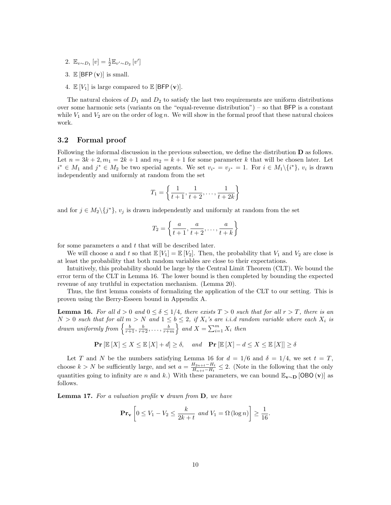- 2.  $\mathbb{E}_{v \sim D_1} [v] = \frac{1}{2} \mathbb{E}_{v' \sim D_2} [v']$
- 3.  $\mathbb{E} [\text{BFP}(\mathbf{v})]$  is small.
- 4.  $\mathbb{E}[V_1]$  is large compared to  $\mathbb{E}[\text{BFP}(\mathbf{v})].$

The natural choices of  $D_1$  and  $D_2$  to satisfy the last two requirements are uniform distributions over some harmonic sets (variants on the "equal-revenue distribution") – so that BFP is a constant while  $V_1$  and  $V_2$  are on the order of log n. We will show in the formal proof that these natural choices work.

## 3.2 Formal proof

Following the informal discussion in the previous subsection, we define the distribution D as follows. Let  $n = 3k + 2, m_1 = 2k + 1$  and  $m_2 = k + 1$  for some parameter k that will be chosen later. Let  $i^* \in M_1$  and  $j^* \in M_2$  be two special agents. We set  $v_{i^*} = v_{j^*} = 1$ . For  $i \in M_1 \setminus \{i^*\}, v_i$  is drawn independently and uniformly at random from the set

$$
T_1 = \left\{ \frac{1}{t+1}, \frac{1}{t+2}, \dots, \frac{1}{t+2k} \right\}
$$

and for  $j \in M_2 \setminus \{j^*\}, v_j$  is drawn independently and uniformly at random from the set

$$
T_2 = \left\{ \frac{a}{t+1}, \frac{a}{t+2}, \dots, \frac{a}{t+k} \right\}
$$

for some parameters  $a$  and  $t$  that will be described later.

We will choose a and t so that  $\mathbb{E}[V_1] = \mathbb{E}[V_2]$ . Then, the probability that  $V_1$  and  $V_2$  are close is at least the probability that both random variables are close to their expectations.

Intuitively, this probability should be large by the Central Limit Theorem (CLT). We bound the error term of the CLT in Lemma 16. The lower bound is then completed by bounding the expected revenue of any truthful in expectation mechanism. (Lemma 20).

Thus, the first lemma consists of formalizing the application of the CLT to our setting. This is proven using the Berry-Esseen bound in Appendix A.

**Lemma 16.** For all  $d > 0$  and  $0 \le \delta \le 1/4$ , there exists  $T > 0$  such that for all  $r > T$ , there is an  $N > 0$  such that for all  $m > N$  and  $1 \leq b \leq 2$ , if  $X_i$ 's are i.i.d random variable where each  $X_i$  is drawn uniformly from  $\left\{\frac{b}{r+1}, \frac{b}{r+2}, \ldots, \frac{b}{r+m}\right\}$  and  $X = \sum_{i=1}^{m} X_i$  then

$$
\mathbf{Pr}\left[\mathbb{E}\left[X\right] \le X \le \mathbb{E}\left[X\right] + d\right] \ge \delta, \quad \text{and} \quad \mathbf{Pr}\left[\mathbb{E}\left[X\right] - d \le X \le \mathbb{E}\left[X\right]\right] \ge \delta
$$

Let T and N be the numbers satisfying Lemma 16 for  $d = 1/6$  and  $\delta = 1/4$ , we set  $t = T$ , choose  $k > N$  be sufficiently large, and set  $a = \frac{H_{2n+t}-H_t}{H_{1n}-H_t}$  $\frac{H_{2n+t}-H_t}{H_{n+t}-H_t} \leq 2$ . (Note in the following that the only quantities going to infinity are n and k.) With these parameters, we can bound  $\mathbb{E}_{\mathbf{v} \sim \mathbf{D}}$  [OBO (v)] as follows.

**Lemma 17.** For a valuation profile  $\bf{v}$  drawn from  $\bf{D}$ , we have

$$
\mathbf{Pr}_{\mathbf{v}}\left[0 \leq V_1 - V_2 \leq \frac{k}{2k+t} \text{ and } V_1 = \Omega\left(\log n\right)\right] \geq \frac{1}{16}.
$$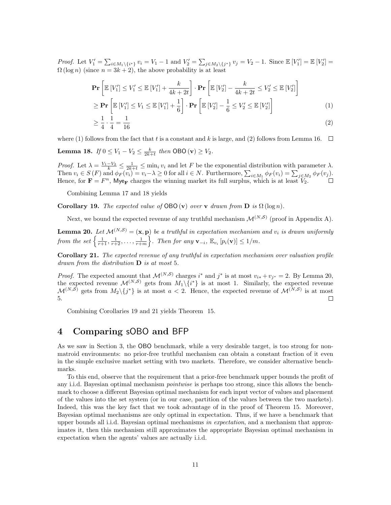Proof. Let  $V'_1 = \sum_{i \in M_1 \setminus \{i^*\}} v_i = V_1 - 1$  and  $V'_2 = \sum_{j \in M_2 \setminus \{j^*\}} v_j = V_2 - 1$ . Since  $\mathbb{E}[V'_1] = \mathbb{E}[V'_2] =$  $\Omega(\log n)$  (since  $n = 3k + 2$ ), the above probability is at least

$$
\mathbf{Pr}\left[\mathbb{E}\left[V'_1\right] \le V'_1 \le \mathbb{E}\left[V'_1\right] + \frac{k}{4k+2t}\right] \cdot \mathbf{Pr}\left[\mathbb{E}\left[V'_2\right] - \frac{k}{4k+2t} \le V'_2 \le \mathbb{E}\left[V'_2\right]\right] \ge \mathbf{Pr}\left[\mathbb{E}\left[V'_1\right] \le V_1 \le \mathbb{E}\left[V'_1\right] + \frac{1}{6}\right] \cdot \mathbf{Pr}\left[\mathbb{E}\left[V'_2\right] - \frac{1}{6} \le V'_2 \le \mathbb{E}\left[V'_2\right]\right]
$$
\n(1)

$$
\geq \frac{1}{4} \cdot \frac{1}{4} = \frac{1}{16} \tag{2}
$$

where (1) follows from the fact that t is a constant and k is large, and (2) follows from Lemma 16.  $\square$ 

**Lemma 18.** If  $0 \le V_1 - V_2 \le \frac{k}{2k+t}$  then  $\textsf{OBO}(v) \ge V_2$ .

Proof. Let  $\lambda = \frac{V_1 - V_2}{k} \leq \frac{1}{2k+t} \leq \min_i v_i$  and let F be the exponential distribution with parameter  $\lambda$ . Then  $v_i \in S(F)$  and  $\phi_F(v_i) = v_i - \lambda \geq 0$  for all  $i \in N$ . Furthermore,  $\sum_{i \in M_1} \phi_F(v_i) = \sum_{j \in M_2} \phi_F(v_j)$ . Hence, for  $\mathbf{F} = F^n$ , Mye<sub>F</sub> charges the winning market its full surplus, which is at least  $V_2$ .

Combining Lemma 17 and 18 yields

**Corollary 19.** The expected value of OBO (v) over v drawn from  $\mathbf{D}$  is  $\Omega(\log n)$ .

Next, we bound the expected revenue of any truthful mechanism  $\mathcal{M}^{(N, \mathcal{S})}$  (proof in Appendix A).

**Lemma 20.** Let  $\mathcal{M}^{(N,S)} = (\mathbf{x}, \mathbf{p})$  be a truthful in expectation mechanism and  $v_i$  is drawn uniformly from the set  $\left\{\frac{1}{r+1}, \frac{1}{r+2}, \ldots, \frac{1}{r+m}\right\}$ . Then for any  $\mathbf{v}_{-i}$ ,  $\mathbb{E}_{v_i} [p_i(\mathbf{v})] \leq 1/m$ .

Corollary 21. The expected revenue of any truthful in expectation mechanism over valuation profile drawn from the distribution  $\bf{D}$  is at most 5.

*Proof.* The expected amount that  $\mathcal{M}^{(N, \mathcal{S})}$  charges i<sup>\*</sup> and j<sup>\*</sup> is at most  $v_{i*} + v_{j*} = 2$ . By Lemma 20, the expected revenue  $\mathcal{M}^{(N, \mathcal{S})}$  gets from  $M_1 \setminus \{i^*\}$  is at most 1. Similarly, the expected revenue  $\mathcal{M}^{(N, \mathcal{S})}$  gets from  $M_2 \setminus \{j^*\}$  is at most  $a < 2$ . Hence, the expected revenue of  $\mathcal{M}^{(N, \mathcal{S})}$  is at most 5.  $\Box$ 

Combining Corollaries 19 and 21 yields Theorem 15.

# 4 Comparing sOBO and BFP

As we saw in Section 3, the OBO benchmark, while a very desirable target, is too strong for nonmatroid environments: no prior-free truthful mechanism can obtain a constant fraction of it even in the simple exclusive market setting with two markets. Therefore, we consider alternative benchmarks.

To this end, observe that the requirement that a prior-free benchmark upper bounds the profit of any i.i.d. Bayesian optimal mechanism pointwise is perhaps too strong, since this allows the benchmark to choose a different Bayesian optimal mechanism for each input vector of values and placement of the values into the set system (or in our case, partition of the values between the two markets). Indeed, this was the key fact that we took advantage of in the proof of Theorem 15. Moreover, Bayesian optimal mechanisms are only optimal in expectation. Thus, if we have a benchmark that upper bounds all i.i.d. Bayesian optimal mechanisms in expectation, and a mechanism that approximates it, then this mechanism still approximates the appropriate Bayesian optimal mechanism in expectation when the agents' values are actually i.i.d.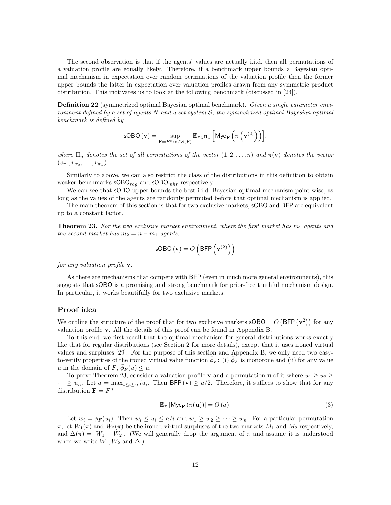The second observation is that if the agents' values are actually i.i.d. then all permutations of a valuation profile are equally likely. Therefore, if a benchmark upper bounds a Bayesian optimal mechanism in expectation over random permuations of the valuation profile then the former upper bounds the latter in expectation over valuation profiles drawn from any symmetric product distribution. This motivates us to look at the following benchmark (discussed in [24]).

**Definition 22** (symmetrized optimal Bayesian optimal benchmark). Given a single parameter environment defined by a set of agents N and a set system  $S$ , the symmetrized optimal Bayesian optimal benchmark is defined by

$$
\mathsf{sOBO}\left(\mathbf{v}\right) = \sup_{\mathbf{F} = F^n : \mathbf{v} \in S(\mathbf{F})} \mathbb{E}_{\pi \in \Pi_n} \left[ \mathsf{Mye}_{\mathbf{F}} \left( \pi \left( \mathbf{v}^{(2)} \right) \right) \right].
$$

where  $\Pi_n$  denotes the set of all permutations of the vector  $(1, 2, \ldots, n)$  and  $\pi(\mathbf{v})$  denotes the vector  $(v_{\pi_1}, v_{\pi_2}, \ldots, v_{\pi_n}).$ 

Similarly to above, we can also restrict the class of the distributions in this definition to obtain weaker benchmarks  $\mathsf{sOBO}_{req}$  and  $\mathsf{sOBO}_{mhr}$  respectively.

We can see that **sOBO** upper bounds the best i.i.d. Bayesian optimal mechanism point-wise, as long as the values of the agents are randomly permuted before that optimal mechanism is applied.

The main theorem of this section is that for two exclusive markets, sOBO and BFP are equivalent up to a constant factor.

**Theorem 23.** For the two exclusive market environment, where the first market has  $m_1$  agents and the second market has  $m_2 = n - m_1$  agents,

$$
\text{sOBO}(\mathbf{v}) = O\left(\text{BFP}\left(\mathbf{v}^{(2)}\right)\right)
$$

for any valuation profile **v**.

As there are mechanisms that compete with BFP (even in much more general environments), this suggests that sOBO is a promising and strong benchmark for prior-free truthful mechanism design. In particular, it works beautifully for two exclusive markets.

#### Proof idea

We outline the structure of the proof that for two exclusive markets  $\mathsf{sOBO} = O(\mathsf{BFP}(\mathbf{v}^2))$  for any valuation profile v. All the details of this proof can be found in Appendix B.

To this end, we first recall that the optimal mechanism for general distributions works exactly like that for regular distributions (see Section 2 for more details), except that it uses ironed virtual values and surpluses [29]. For the purpose of this section and Appendix B, we only need two easyto-verify properties of the ironed virtual value function  $\bar{\phi}_F$ : (i)  $\bar{\phi}_F$  is monotone and (ii) for any value u in the domain of  $F, \bar{\phi}_F(u) \leq u$ .

To prove Theorem 23, consider a valuation profile v and a permutation **u** of it where  $u_1 \geq u_2 \geq$  $\cdots \ge u_n$ . Let  $a = \max_{1 \le i \le n} i u_i$ . Then BFP  $(v) \ge a/2$ . Therefore, it suffices to show that for any distribution  $\mathbf{F} = F^n$ 

$$
\mathbb{E}_{\pi}\left[\mathsf{Mye}_{\mathbf{F}}\left(\pi(\mathbf{u})\right)\right] = O\left(a\right).
$$
\n(3)

Let  $w_i = \overline{\phi}_F(u_i)$ . Then  $w_i \leq u_i \leq a/i$  and  $w_1 \geq w_2 \geq \cdots \geq w_n$ . For a particular permutation  $\pi$ , let  $W_1(\pi)$  and  $W_2(\pi)$  be the ironed virtual surpluses of the two markets  $M_1$  and  $M_2$  respectively, and  $\Delta(\pi) = |W_1 - W_2|$ . (We will generally drop the argument of  $\pi$  and assume it is understood when we write  $W_1, W_2$  and  $\Delta$ .)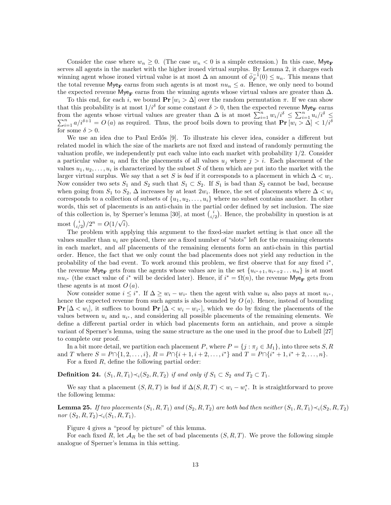Consider the case where  $w_n \geq 0$ . (The case  $w_n < 0$  is a simple extension.) In this case, Mye<sub>F</sub> serves all agents in the market with the higher ironed virtual surplus. By Lemma 2, it charges each winning agent whose ironed virtual value is at most  $\Delta$  an amount of  $\bar{\phi}_F^{-1}(0) \leq u_n$ . This means that the total revenue  $\mathsf{Mye}_{\mathbf{F}}$  earns from such agents is at most  $nu_n \leq a$ . Hence, we only need to bound the expected revenue Mye<sub>F</sub> earns from the winning agents whose virtual values are greater than  $\Delta$ .

To this end, for each i, we bound **Pr**  $[w_i > \Delta]$  over the random permutation  $\pi$ . If we can show that this probability is at most  $1/i^{\delta}$  for some constant  $\delta > 0$ , then the expected revenue Mye<sub>F</sub> earns from the agents whose virtual values are greater than  $\Delta$  is at most  $\sum_{i=1}^{n} w_i/i^{\delta} \leq \sum_{i=1}^{n} u_i/i$ P of the agents whose virtual values are greater than  $\Delta$  is at most  $\sum_{i=1}^{n} w_i/i^{\delta} \leq \sum_{i=1}^{n} u_i/i^{\delta} \leq \sum_{i=1}^{n} u_i/i^{\delta} \leq \sum_{i=1}^{n} a/i^{\delta+1} = O(a)$  as required. Thus, the proof boils down to proving that  $\mathbf{Pr}[w_i > \Delta$ for some  $\delta > 0$ .

We use an idea due to Paul Erdős [9]. To illustrate his clever idea, consider a different but related model in which the size of the markets are not fixed and instead of randomly permuting the valuation profile, we independently put each value into each market with probability 1/2. Consider a particular value  $u_i$  and fix the placements of all values  $u_j$  where  $j > i$ . Each placement of the values  $u_1, u_2, \ldots, u_i$  is characterized by the subset S of them which are put into the market with the larger virtual surplus. We say that a set S is *bad* if it corresponds to a placement in which  $\Delta < w_i$ . Now consider two sets  $S_1$  and  $S_2$  such that  $S_1 \subset S_2$ . If  $S_1$  is bad than  $S_2$  cannot be bad, because when going from  $S_1$  to  $S_2$ ,  $\Delta$  increases by at least  $2w_i$ . Hence, the set of placements where  $\Delta < w_i$ corresponds to a collection of subsets of  $\{u_1, u_2, \ldots, u_i\}$  where no subset contains another. In other words, this set of placements is an anti-chain in the partial order defined by set inclusion. The size of this collection is, by Sperner's lemma [30], at most  $\binom{i}{i/2}$ . Hence, the probability in question is at most  $\binom{i}{i/2}/2^n = O(1/\sqrt{i}).$ 

The problem with applying this argument to the fixed-size market setting is that once all the values smaller than  $u_i$  are placed, there are a fixed number of "slots" left for the remaining elements in each market, and all placements of the remaining elements form an anti-chain in this partial order. Hence, the fact that we only count the bad placements does not yield any reduction in the probability of the bad event. To work around this problem, we first observe that for any fixed  $i^*$ , the revenue  $\mathsf{Mye}_\mathbf{F}$  gets from the agents whose values are in the set  $\{u_{i^*+1}, u_{i^*+2} \ldots u_n\}$  is at most  $nu_{i^*}$  (the exact value of  $i^*$  will be decided later). Hence, if  $i^* = \Omega(n)$ , the revenue  $Mye_{\mathbf{F}}$  gets from these agents is at most  $O(a)$ .

Now consider some  $i \leq i^*$ . If  $\Delta \geq w_i - w_{i^*}$  then the agent with value  $u_i$  also pays at most  $u_{i^*}$ , hence the expected revenue from such agents is also bounded by  $O(a)$ . Hence, instead of bounding **Pr** [ $\Delta < w_i$ ], it suffices to bound **Pr** [ $\Delta < w_i - w_{i^*}$ ], which we do by fixing the placements of the values between  $u_i$  and  $u_{i^*}$ , and considering all possible placements of the remaining elements. We define a different partial order in which bad placements form an antichain, and prove a simple variant of Sperner's lemma, using the same structure as the one used in the proof due to Lubell [27] to complete our proof.

In a bit more detail, we partition each placement P, where  $P = \{j : \pi_j \in M_1\}$ , into three sets S, R and T where  $S = P \cap \{1, 2, \ldots, i\}, R = P \cap \{i + 1, i + 2, \ldots, i^*\}$  and  $T = P \cap \{i^* + 1, i^* + 2, \ldots, n\}.$ For a fixed  $R$ , define the following partial order:

**Definition 24.**  $(S_1, R, T_1) \prec_i (S_2, R, T_2)$  if and only if  $S_1 \subset S_2$  and  $T_2 \subset T_1$ .

We say that a placement  $(S, R, T)$  is bad if  $\Delta(S, R, T) < w_i - w_i^*$ . It is straightforward to prove the following lemma:

**Lemma 25.** If two placements  $(S_1, R, T_1)$  and  $(S_2, R, T_2)$  are both bad then neither  $(S_1, R, T_1) \prec_i (S_2, R, T_2)$ nor  $(S_2, R, T_2) \prec_i (S_1, R, T_1)$ .

Figure 4 gives a "proof by picture" of this lemma.

For each fixed R, let  $\mathcal{A}_R$  be the set of bad placements  $(S, R, T)$ . We prove the following simple analogue of Sperner's lemma in this setting.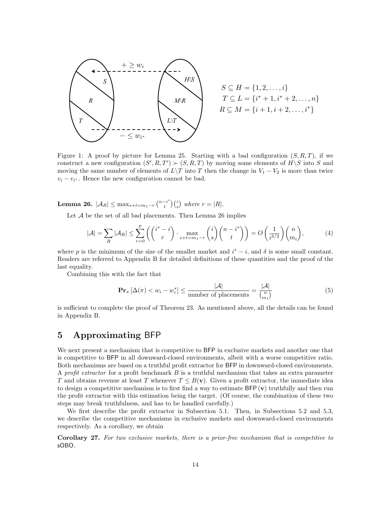

$$
S \subseteq H = \{1, 2, ..., i\}
$$
  
\n
$$
T \subseteq L = \{i^* + 1, i^* + 2, ..., n\}
$$
  
\n
$$
R \subseteq M = \{i + 1, i + 2, ..., i^*\}
$$

Figure 1: A proof by picture for Lemma 25. Starting with a bad configuration  $(S, R, T)$ , if we construct a new configuration  $(S', R, T') \succ (S, R, T)$  by moving some elements of  $H \backslash S$  into S and moving the same number of elements of  $L\T$  into T then the change in  $V_1 - V_2$  is more than twice  $v_i - v_{i^*}$ . Hence the new configuration cannot be bad.

**Lemma 26.**  $|A_R| \leq \max_{s+t=m_1-r} {n-i \choose t}{i \choose s}$  where  $r = |R|$ .

Let  $A$  be the set of all bad placements. Then Lemma 26 implies

$$
|\mathcal{A}| = \sum_{R} |\mathcal{A}_R| \le \sum_{r=0}^p \left( \binom{i^* - i}{r} \cdot \max_{s+t=m_1-r} \binom{i}{s} \binom{n-i^*}{t} \right) = O\left(\frac{1}{i^{\delta/2}}\right) \binom{n}{m_i},\tag{4}
$$

where p is the minimum of the size of the smaller market and  $i^* - i$ , and  $\delta$  is some small constant. Readers are referred to Appendix B for detailed definitions of these quantities and the proof of the last equality.

Combining this with the fact that

$$
\mathbf{Pr}_{\pi} \left[ \Delta(\pi) < w_i - w_i^* \right] \le \frac{|\mathcal{A}|}{\text{number of places}} = \frac{|\mathcal{A}|}{\binom{n}{m_1}} \tag{5}
$$

is sufficient to complete the proof of Theorem 23. As mentioned above, all the details can be found in Appendix B.

# 5 Approximating BFP

We next present a mechanism that is competitive to BFP in exclusive markets and another one that is competitive to BFP in all downward-closed environments, albeit with a worse competitive ratio. Both mechanisms are based on a truthful profit extractor for BFP in downward-closed environments. A profit extractor for a profit benchmark  $B$  is a truthful mechanism that takes an extra parameter T and obtains revenue at least T whenever  $T \leq B(\mathbf{v})$ . Given a profit extractor, the immediate idea to design a competitive mechanism is to first find a way to estimate  $BFP(v)$  truthfully and then run the profit extractor with this estimation being the target. (Of course, the combination of these two steps may break truthfulness, and has to be handled carefully.)

We first describe the profit extractor in Subsection 5.1. Then, in Subsections 5.2 and 5.3, we describe the competitive mechanisms in exclusive markets and downward-closed environments respectively. As a corollary, we obtain

Corollary 27. For two exclusive markets, there is a prior-free mechanism that is competitive to sOBO.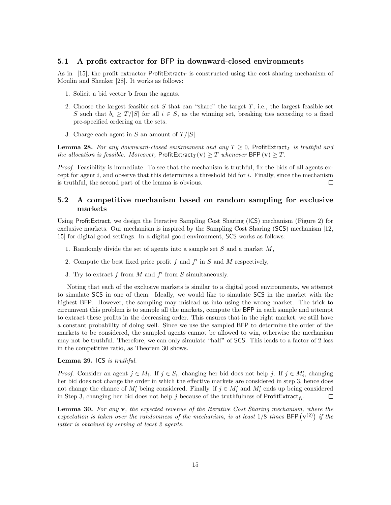# 5.1 A profit extractor for BFP in downward-closed environments

As in [15], the profit extractor ProfitExtract<sub>T</sub> is constructed using the cost sharing mechanism of Moulin and Shenker [28]. It works as follows:

- 1. Solicit a bid vector b from the agents.
- 2. Choose the largest feasible set S that can "share" the target  $T$ , i.e., the largest feasible set S such that  $b_i \geq T/|S|$  for all  $i \in S$ , as the winning set, breaking ties according to a fixed pre-specified ordering on the sets.
- 3. Charge each agent in S an amount of  $T/|S|$ .

**Lemma 28.** For any downward-closed environment and any  $T \geq 0$ , ProfitExtract<sub>T</sub> is truthful and the allocation is feasible. Moreover, ProfitExtract<sub>T</sub>(**v**) > T whenever BFP (**v**) > T.

Proof. Feasibility is immediate. To see that the mechanism is truthful, fix the bids of all agents except for agent i, and observe that this determines a threshold bid for i. Finally, since the mechanism is truthful, the second part of the lemma is obvious. П

# 5.2 A competitive mechanism based on random sampling for exclusive markets

Using ProfitExtract, we design the Iterative Sampling Cost Sharing (ICS) mechanism (Figure 2) for exclusive markets. Our mechanism is inspired by the Sampling Cost Sharing (SCS) mechanism [12, 15] for digital good settings. In a digital good environment, SCS works as follows:

- 1. Randomly divide the set of agents into a sample set  $S$  and a market  $M$ ,
- 2. Compute the best fixed price profit  $f$  and  $f'$  in  $S$  and  $M$  respectively,
- 3. Try to extract  $f$  from  $M$  and  $f'$  from  $S$  simultaneously.

Noting that each of the exclusive markets is similar to a digital good environments, we attempt to simulate SCS in one of them. Ideally, we would like to simulate SCS in the market with the highest BFP. However, the sampling may mislead us into using the wrong market. The trick to circumvent this problem is to sample all the markets, compute the BFP in each sample and attempt to extract these profits in the decreasing order. This ensures that in the right market, we still have a constant probability of doing well. Since we use the sampled BFP to determine the order of the markets to be considered, the sampled agents cannot be allowed to win, otherwise the mechanism may not be truthful. Therefore, we can only simulate "half" of SCS. This leads to a factor of 2 loss in the competitive ratio, as Theorem 30 shows.

#### Lemma 29. ICS is truthful.

*Proof.* Consider an agent  $j \in M_i$ . If  $j \in S_i$ , changing her bid does not help j. If  $j \in M'_i$ , changing her bid does not change the order in which the effective markets are considered in step 3, hence does not change the chance of  $M_i'$  being considered. Finally, if  $j \in M_i'$  and  $M_i'$  ends up being considered in Step 3, changing her bid does not help j because of the truthfulness of ProfitExtract<sub>f<sub>i</sub></sub>.  $\Box$ 

**Lemma 30.** For any  $\bf{v}$ , the expected revenue of the Iterative Cost Sharing mechanism, where the expectation is taken over the randomness of the mechanism, is at least  $1/8$  times BFP  $(v^{(2)})$  if the latter is obtained by serving at least 2 agents.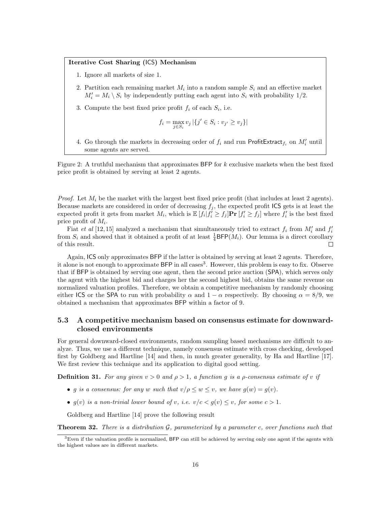#### Iterative Cost Sharing (ICS) Mechanism

- 1. Ignore all markets of size 1.
- 2. Partition each remaining market  $M_i$  into a random sample  $S_i$  and an effective market  $M_i' = M_i \setminus S_i$  by independently putting each agent into  $S_i$  with probability 1/2.
- 3. Compute the best fixed price profit  $f_i$  of each  $S_i$ , i.e.

$$
f_i = \max_{j \in S_i} v_j | \{ j' \in S_i : v_{j'} \ge v_j \} |
$$

4. Go through the markets in decreasing order of  $f_i$  and run ProfitExtract<sub> $f_i$ </sub> on  $M'_i$  until some agents are served.

Figure 2: A truthful mechanism that approximates BFP for  $k$  exclusive markets when the best fixed price profit is obtained by serving at least 2 agents.

*Proof.* Let  $M_i$  be the market with the largest best fixed price profit (that includes at least 2 agents). Because markets are considered in order of decreasing  $f_i$ , the expected profit ICS gets is at least the expected profit it gets from market  $M_i$ , which is  $\mathbb{E}[f_i | f'_i \geq f_j]$ **Pr**  $[f'_i \geq f_j]$  where  $f'_i$  is the best fixed price profit of  $M_i$ .

Fiat *et al* [12, 15] analyzed a mechanism that simultaneously tried to extract  $f_i$  from  $M_i'$  and  $f_i'$ from  $S_i$  and showed that it obtained a profit of at least  $\frac{1}{4}$ BFP( $M_i$ ). Our lemma is a direct corollary of this result.  $\Box$ 

Again, ICS only approximates BFP if the latter is obtained by serving at least 2 agents. Therefore, it alone is not enough to approximate BFP in all cases<sup>3</sup>. However, this problem is easy to fix. Observe that if BFP is obtained by serving one agent, then the second price auction (SPA), which serves only the agent with the highest bid and charges her the second highest bid, obtains the same revenue on normalized valuation profiles. Therefore, we obtain a competitive mechanism by randomly choosing either ICS or the SPA to run with probability  $\alpha$  and  $1 - \alpha$  respectively. By choosing  $\alpha = 8/9$ , we obtained a mechanism that approximates BFP within a factor of 9.

# 5.3 A competitive mechanism based on consensus estimate for downwardclosed environments

For general downward-closed environments, random sampling based mechanisms are difficult to analyze. Thus, we use a different technique, namely consensus estimate with cross checking, developed first by Goldberg and Hartline [14] and then, in much greater generality, by Ha and Hartline [17]. We first review this technique and its application to digital good setting.

**Definition 31.** For any given  $v > 0$  and  $\rho > 1$ , a function q is a  $\rho$ -consensus estimate of v if

- g is a consensus: for any w such that  $v/\rho \leq w \leq v$ , we have  $g(w) = g(v)$ .
- $q(v)$  is a non-trivial lower bound of v, i.e.  $v/c < q(v) \le v$ , for some  $c > 1$ .

Goldberg and Hartline [14] prove the following result

**Theorem 32.** There is a distribution  $\mathcal{G}$ , parameterized by a parameter c, over functions such that

<sup>3</sup>Even if the valuation profile is normalized, BFP can still be achieved by serving only one agent if the agents with the highest values are in different markets.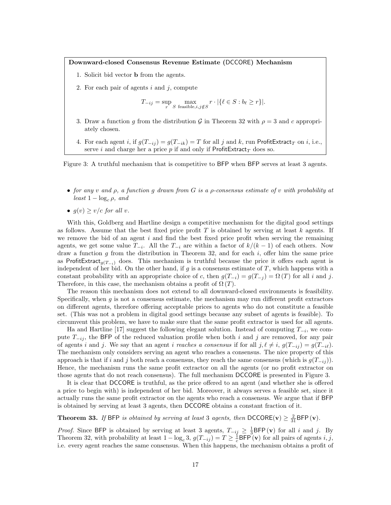Downward-closed Consensus Revenue Estimate (DCCORE) Mechanism

- 1. Solicit bid vector b from the agents.
- 2. For each pair of agents  $i$  and  $j$ , compute

$$
T_{-ij} = \sup_r \max_{S \text{ feasible}, i, j \notin S} r \cdot |\{\ell \in S : b_{\ell} \ge r\}|.
$$

- 3. Draw a function q from the distribution G in Theorem 32 with  $\rho = 3$  and c appropriately chosen.
- 4. For each agent i, if  $g(T_{-ij}) = g(T_{-ik}) = T$  for all j and k, run ProfitExtract<sub>T</sub> on i, i.e., serve i and charge her a price p if and only if  $ProfitExtract<sub>T</sub>$  does so.

Figure 3: A truthful mechanism that is competitive to BFP when BFP serves at least 3 agents.

- for any v and  $\rho$ , a function g drawn from G is a  $\rho$ -consensus estimate of v with probability at least  $1 - \log_c \rho$ , and
- $g(v) \ge v/c$  for all v.

With this, Goldberg and Hartline design a competitive mechanism for the digital good settings as follows. Assume that the best fixed price profit  $T$  is obtained by serving at least  $k$  agents. If we remove the bid of an agent  $i$  and find the best fixed price profit when serving the remaining agents, we get some value  $T_{-i}$ . All the  $T_{-i}$  are within a factor of  $k/(k-1)$  of each others. Now draw a function g from the distribution in Theorem 32, and for each  $i$ , offer him the same price as ProfitExtract<sub>q(T−i</sub>) does. This mechanism is truthful because the price it offers each agent is independent of her bid. On the other hand, if  $g$  is a consensus estimate of  $T$ , which happens with a constant probability with an appropriate choice of c, then  $g(T_{-i}) = g(T_{-j}) = \Omega(T)$  for all i and j. Therefore, in this case, the mechanism obtains a profit of  $\Omega(T)$ .

The reason this mechanism does not extend to all downward-closed environments is feasibility. Specifically, when  $g$  is not a consensus estimate, the mechanism may run different profit extractors on different agents, therefore offering acceptable prices to agents who do not constitute a feasible set. (This was not a problem in digital good settings because any subset of agents is feasible). To circumvent this problem, we have to make sure that the same profit extractor is used for all agents.

Ha and Hartline [17] suggest the following elegant solution. Instead of computing  $T_{-i}$ , we compute  $T_{-ij}$ , the BFP of the reduced valuation profile when both i and j are removed, for any pair of agents i and j. We say that an agent i reaches a consensus if for all j,  $\ell \neq i$ ,  $g(T_{-ij}) = g(T_{-i\ell}).$ The mechanism only considers serving an agent who reaches a consensus. The nice property of this approach is that if i and j both reach a consensus, they reach the same consensus (which is  $g(T_{-ij})$ ). Hence, the mechanism runs the same profit extractor on all the agents (or no profit extractor on those agents that do not reach consensus). The full mechanism DCCORE is presented in Figure 3.

It is clear that DCCORE is truthful, as the price offered to an agent (and whether she is offered a price to begin with) is independent of her bid. Moreover, it always serves a feasible set, since it actually runs the same profit extractor on the agents who reach a consensus. We argue that if BFP is obtained by serving at least 3 agents, then DCCORE obtains a constant fraction of it.

**Theorem 33.** If BFP is obtained by serving at least 3 agents, then  $\text{DCCORE}(v) \geq \frac{2}{31} \text{BFP}(v)$ .

*Proof.* Since BFP is obtained by serving at least 3 agents,  $T_{-ij} \geq \frac{1}{3}$ BFP (v) for all i and j. By Theorem 32, with probability at least  $1 - \log_c 3$ ,  $g(T_{-ij}) = T \geq \frac{1}{c}$ BFP (**v**) for all pairs of agents *i*, *j*, i.e. every agent reaches the same consensus. When this happens, the mechanism obtains a profit of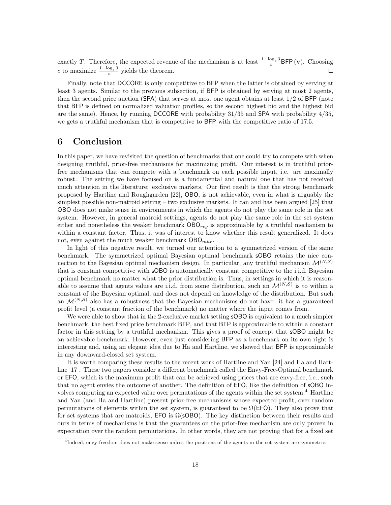exactly T. Therefore, the expected revenue of the mechanism is at least  $\frac{1-\log_c 3}{c}$ BFP (v). Choosing c to maximize  $\frac{1-\log_c 3}{c}$  yields the theorem.  $\Box$ 

Finally, note that DCCORE is only competitive to BFP when the latter is obtained by serving at least 3 agents. Similar to the previous subsection, if BFP is obtained by serving at most 2 agents, then the second price auction (SPA) that serves at most one agent obtains at least  $1/2$  of BFP (note that BFP is defined on normalized valuation profiles, so the second highest bid and the highest bid are the same). Hence, by running DCCORE with probability 31/35 and SPA with probability 4/35, we gets a truthful mechanism that is competitive to BFP with the competitive ratio of 17.5.

# 6 Conclusion

In this paper, we have revisited the question of benchmarks that one could try to compete with when designing truthful, prior-free mechanisms for maximizing profit. Our interest is in truthful priorfree mechanisms that can compete with a benchmark on each possible input, i.e. are maximally robust. The setting we have focused on is a fundamental and natural one that has not received much attention in the literature: exclusive markets. Our first result is that the strong benchmark proposed by Hartline and Roughgarden [22], OBO, is not achievable, even in what is arguably the simplest possible non-matroid setting – two exclusive markets. It can and has been argued [25] that OBO does not make sense in environments in which the agents do not play the same role in the set system. However, in general matroid settings, agents do not play the same role in the set system either and nonetheless the weaker benchmark  $\text{OBO}_{reg}$  is approximable by a truthful mechanism to within a constant factor. Thus, it was of interest to know whether this result generalized. It does not, even against the much weaker benchmark  $\textsf{OBO}_{mhr}$ .

In light of this negative result, we turned our attention to a symmetrized version of the same benchmark. The symmetrized optimal Bayesian optimal benchmark sOBO retains the nice connection to the Bayesian optimal mechanism design. In particular, any truthful mechanism  $\mathcal{M}^{(N,S)}$ that is constant competitive with sOBO is automatically constant competitive to the i.i.d. Bayesian optimal benchmark no matter what the prior distribution is. Thus, in settings in which it is reasonable to assume that agents values are i.i.d. from some distribution, such an  $\mathcal{M}^{(N, \mathcal{S})}$  is to within a constant of the Bayesian optimal, and does not depend on knowledge of the distribution. But such an  $\mathcal{M}^{(N, S)}$  also has a robustness that the Bayesian mechanisms do not have: it has a guaranteed profit level (a constant fraction of the benchmark) no matter where the input comes from.

We were able to show that in the 2-exclusive market setting **sOBO** is equivalent to a much simpler benchmark, the best fixed price benchmark BFP, and that BFP is approximable to within a constant factor in this setting by a truthful mechanism. This gives a proof of concept that **sOBO** might be an achievable benchmark. However, even just considering BFP as a benchmark on its own right is interesting and, using an elegant idea due to Ha and Hartline, we showed that BFP is approximable in any downward-closed set system.

It is worth comparing these results to the recent work of Hartline and Yan [24] and Ha and Hartline [17]. These two papers consider a different benchmark called the Envy-Free-Optimal benchmark or EFO, which is the maximum profit that can be achieved using prices that are envy-free, i.e., such that no agent envies the outcome of another. The definition of EFO, like the definition of sOBO involves computing an expected value over permutations of the agents within the set system.<sup>4</sup> Hartline and Yan (and Ha and Hartline) present prior-free mechanisms whose expected profit, over random permutations of elements within the set system, is guaranteed to be  $\Omega$ (EFO). They also prove that for set systems that are matroids,  $EFO$  is  $\Omega$ (sOBO). The key distinction between their results and ours in terms of mechanisms is that the guarantees on the prior-free mechanism are only proven in expectation over the random permutations. In other words, they are not proving that for a fixed set

<sup>4</sup> Indeed, envy-freedom does not make sense unless the positions of the agents in the set system are symmetric.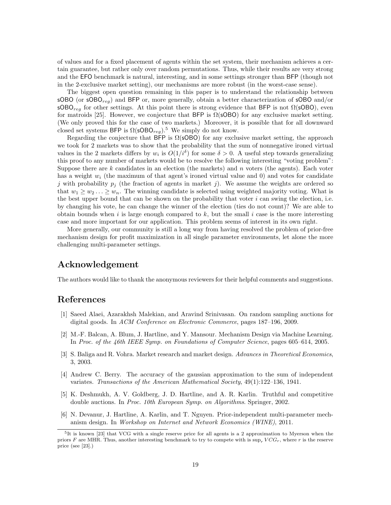of values and for a fixed placement of agents within the set system, their mechanism achieves a certain guarantee, but rather only over random permutations. Thus, while their results are very strong and the EFO benchmark is natural, interesting, and in some settings stronger than BFP (though not in the 2-exclusive market setting), our mechanisms are more robust (in the worst-case sense).

The biggest open question remaining in this paper is to understand the relationship between sOBO (or sOBO<sub>reg</sub>) and BFP or, more generally, obtain a better characterization of sOBO and/or  $\mathsf{sOBO}_{reg}$  for other settings. At this point there is strong evidence that BFP is not  $\Omega(\mathsf{sOBO})$ , even for matroids [25]. However, we conjecture that BFP is  $\Omega$ (sOBO) for any exclusive market setting. (We only proved this for the case of two markets.) Moreover, it is possible that for all downward closed set systems BFP is  $\Omega(\mathsf{sOBO}_{req})$ .<sup>5</sup> We simply do not know.

Regarding the conjecture that BFP is  $\Omega$ (sOBO) for any exclusive market setting, the approach we took for 2 markets was to show that the probability that the sum of nonnegative ironed virtual values in the 2 markets differs by  $w_i$  is  $O(1/i^{\delta})$  for some  $\delta > 0$ . A useful step towards generalizing this proof to any number of markets would be to resolve the following interesting "voting problem": Suppose there are  $k$  candidates in an election (the markets) and  $n$  voters (the agents). Each voter has a weight  $w_i$  (the maximum of that agent's ironed virtual value and 0) and votes for candidate j with probability  $p_i$  (the fraction of agents in market j). We assume the weights are ordered so that  $w_1 \geq w_2 \ldots \geq w_n$ . The winning candidate is selected using weighted majority voting. What is the best upper bound that can be shown on the probability that voter  $i$  can swing the election, i.e. by changing his vote, he can change the winner of the election (ties do not count)? We are able to obtain bounds when i is large enough compared to  $k$ , but the small i case is the more interesting case and more important for our application. This problem seems of interest in its own right.

More generally, our community is still a long way from having resolved the problem of prior-free mechanism design for profit maximization in all single parameter environments, let alone the more challenging multi-parameter settings.

# Acknowledgement

The authors would like to thank the anonymous reviewers for their helpful comments and suggestions.

# References

- [1] Saeed Alaei, Azarakhsh Malekian, and Aravind Srinivasan. On random sampling auctions for digital goods. In ACM Conference on Electronic Commerce, pages 187–196, 2009.
- [2] M.-F. Balcan, A. Blum, J. Hartline, and Y. Mansour. Mechanism Design via Machine Learning. In Proc. of the 46th IEEE Symp. on Foundations of Computer Science, pages 605–614, 2005.
- [3] S. Baliga and R. Vohra. Market research and market design. Advances in Theoretical Economics, 3, 2003.
- [4] Andrew C. Berry. The accuracy of the gaussian approximation to the sum of independent variates. Transactions of the American Mathematical Society, 49(1):122–136, 1941.
- [5] K. Deshmukh, A. V. Goldberg, J. D. Hartline, and A. R. Karlin. Truthful and competitive double auctions. In *Proc. 10th European Symp. on Algorithms*. Springer, 2002.
- [6] N. Devanur, J. Hartline, A. Karlin, and T. Nguyen. Prior-independent multi-parameter mechanism design. In Workshop on Internet and Network Economics (WINE), 2011.

<sup>&</sup>lt;sup>5</sup>It is known [23] that VCG with a single reserve price for all agents is a 2 approximation to Myerson when the priors F are MHR. Thus, another interesting benchmark to try to compete with is sup,  $VCG_r$ , where r is the reserve price (see [23].)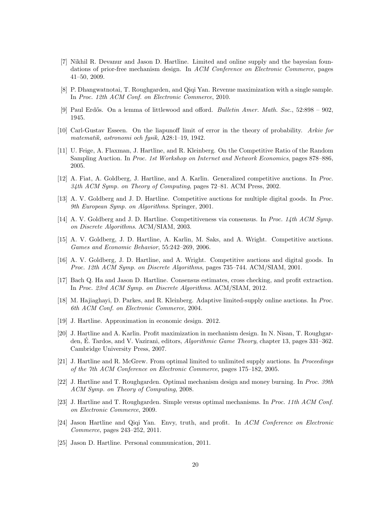- [7] Nikhil R. Devanur and Jason D. Hartline. Limited and online supply and the bayesian foundations of prior-free mechanism design. In ACM Conference on Electronic Commerce, pages 41–50, 2009.
- [8] P. Dhangwatnotai, T. Roughgarden, and Qiqi Yan. Revenue maximization with a single sample. In Proc. 12th ACM Conf. on Electronic Commerce, 2010.
- [9] Paul Erdős. On a lemma of littlewood and offord. Bulletin Amer. Math. Soc., 52:898 902, 1945.
- [10] Carl-Gustav Esseen. On the liapunoff limit of error in the theory of probability. Arkiv for matematik, astronomi och fysik, A28:1–19, 1942.
- [11] U. Feige, A. Flaxman, J. Hartline, and R. Kleinberg. On the Competitive Ratio of the Random Sampling Auction. In Proc. 1st Workshop on Internet and Network Economics, pages 878–886, 2005.
- [12] A. Fiat, A. Goldberg, J. Hartline, and A. Karlin. Generalized competitive auctions. In Proc.  $34th$  ACM Symp. on Theory of Computing, pages  $72-81$ . ACM Press, 2002.
- [13] A. V. Goldberg and J. D. Hartline. Competitive auctions for multiple digital goods. In Proc. 9th European Symp. on Algorithms. Springer, 2001.
- [14] A. V. Goldberg and J. D. Hartline. Competitiveness via consensus. In Proc. 14th ACM Symp. on Discrete Algorithms. ACM/SIAM, 2003.
- [15] A. V. Goldberg, J. D. Hartline, A. Karlin, M. Saks, and A. Wright. Competitive auctions. Games and Economic Behavior, 55:242–269, 2006.
- [16] A. V. Goldberg, J. D. Hartline, and A. Wright. Competitive auctions and digital goods. In Proc. 12th ACM Symp. on Discrete Algorithms, pages 735–744. ACM/SIAM, 2001.
- [17] Bach Q. Ha and Jason D. Hartline. Consensus estimates, cross checking, and profit extraction. In Proc. 23rd ACM Symp. on Discrete Algorithms. ACM/SIAM, 2012.
- [18] M. Hajiaghayi, D. Parkes, and R. Kleinberg. Adaptive limited-supply online auctions. In Proc. 6th ACM Conf. on Electronic Commerce, 2004.
- [19] J. Hartline. Approximation in economic design. 2012.
- [20] J. Hartline and A. Karlin. Profit maximization in mechanism design. In N. Nisan, T. Roughgarden, E. Tardos, and V. Vazirani, editors, *Algorithmic Game Theory*, chapter 13, pages 331–362. Cambridge University Press, 2007.
- [21] J. Hartline and R. McGrew. From optimal limited to unlimited supply auctions. In Proceedings of the 7th ACM Conference on Electronic Commerce, pages 175–182, 2005.
- [22] J. Hartline and T. Roughgarden. Optimal mechanism design and money burning. In Proc. 39th ACM Symp. on Theory of Computing, 2008.
- [23] J. Hartline and T. Roughgarden. Simple versus optimal mechanisms. In Proc. 11th ACM Conf. on Electronic Commerce, 2009.
- [24] Jason Hartline and Qiqi Yan. Envy, truth, and profit. In ACM Conference on Electronic Commerce, pages 243–252, 2011.
- [25] Jason D. Hartline. Personal communication, 2011.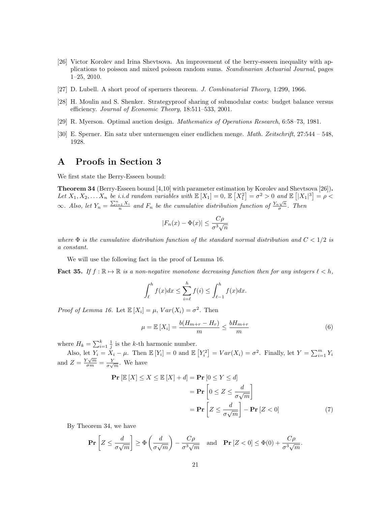- [26] Victor Korolev and Irina Shevtsova. An improvement of the berry-esseen inequality with applications to poisson and mixed poisson random sums. Scandinavian Actuarial Journal, pages 1–25, 2010.
- [27] D. Lubell. A short proof of sperners theorem. J. Combinatorial Theory, 1:299, 1966.
- [28] H. Moulin and S. Shenker. Strategyproof sharing of submodular costs: budget balance versus efficiency. Journal of Economic Theory, 18:511–533, 2001.
- [29] R. Myerson. Optimal auction design. Mathematics of Operations Research, 6:58–73, 1981.
- [30] E. Sperner. Ein satz uber untermengen einer endlichen menge. Math. Zeitschrift, 27:544 548, 1928.

# A Proofs in Section 3

We first state the Berry-Esseen bound:

Theorem 34 (Berry-Esseen bound [4,10] with parameter estimation by Korolev and Shevtsova [26]). Let  $X_1, X_2, \ldots X_n$  be i.i.d random variables with  $\mathbb{E}[X_1] = 0$ ,  $\mathbb{E}[X_1^2] = \sigma^2 > 0$  and  $\mathbb{E}[|X_1|^3] = \rho <$  $\infty$ . Also, let  $Y_n = \frac{\sum_{i=1}^n X_i}{n}$  and  $F_n$  be the cumulative distribution function of  $\frac{Y_n\sqrt{n}}{\sigma}$  $\frac{\sqrt{n}}{\sigma}$ . Then

$$
|F_n(x) - \Phi(x)| \le \frac{C\rho}{\sigma^3 \sqrt{n}}
$$

where  $\Phi$  is the cumulative distribution function of the standard normal distribution and  $C < 1/2$  is a constant.

We will use the following fact in the proof of Lemma 16.

**Fact 35.** If  $f : \mathbb{R} \to \mathbb{R}$  is a non-negative monotone decreasing function then for any integers  $\ell < h$ ,

$$
\int_{\ell}^{h} f(x)dx \le \sum_{i=\ell}^{h} f(i) \le \int_{\ell-1}^{h} f(x)dx.
$$

*Proof of Lemma 16.* Let  $\mathbb{E}[X_i] = \mu$ ,  $Var(X_i) = \sigma^2$ . Then

$$
\mu = \mathbb{E}\left[X_i\right] = \frac{b(H_{m+r} - H_r)}{m} \le \frac{bH_{m+r}}{m} \tag{6}
$$

where  $H_k = \sum_{i=1}^k \frac{1}{i}$  is the k-th harmonic number.

Also, let  $Y_i = X_i - \mu$ . Then  $\mathbb{E}[Y_i] = 0$  and  $\mathbb{E}[Y_i^2] = Var(X_i) = \sigma^2$ . Finally, let  $Y = \sum_{i=1}^m Y_i$ and  $Z = \frac{Y\sqrt{m}}{\sigma m} = \frac{Y}{\sigma\sqrt{m}}$ . We have

$$
\begin{aligned} \mathbf{Pr} \left[ \mathbb{E} \left[ X \right] \le X \le \mathbb{E} \left[ X \right] + d \right] &= \mathbf{Pr} \left[ 0 \le Y \le d \right] \\ &= \mathbf{Pr} \left[ 0 \le Z \le \frac{d}{\sigma \sqrt{m}} \right] \\ &= \mathbf{Pr} \left[ Z \le \frac{d}{\sigma \sqrt{m}} \right] - \mathbf{Pr} \left[ Z < 0 \right] \end{aligned} \tag{7}
$$

By Theorem 34, we have

$$
\mathbf{Pr}\left[Z \le \frac{d}{\sigma\sqrt{m}}\right] \ge \Phi\left(\frac{d}{\sigma\sqrt{m}}\right) - \frac{C\rho}{\sigma^3\sqrt{m}} \quad \text{and} \quad \mathbf{Pr}\left[Z < 0\right] \le \Phi(0) + \frac{C\rho}{\sigma^3\sqrt{m}}.
$$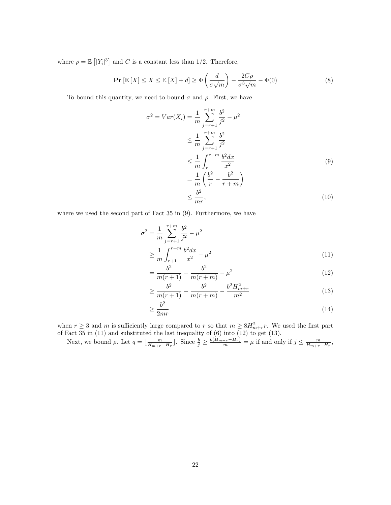where  $\rho = \mathbb{E} \left[ |Y_i|^3 \right]$  and C is a constant less than 1/2. Therefore,

$$
\Pr\left[\mathbb{E}\left[X\right] \le X \le \mathbb{E}\left[X\right] + d\right] \ge \Phi\left(\frac{d}{\sigma\sqrt{m}}\right) - \frac{2C\rho}{\sigma^3\sqrt{m}} - \Phi(0) \tag{8}
$$

To bound this quantity, we need to bound  $\sigma$  and  $\rho$ . First, we have

$$
\sigma^{2} = Var(X_{i}) = \frac{1}{m} \sum_{j=r+1}^{r+m} \frac{b^{2}}{j^{2}} - \mu^{2}
$$
  
\n
$$
\leq \frac{1}{m} \sum_{j=r+1}^{r+m} \frac{b^{2}}{j^{2}}
$$
  
\n
$$
\leq \frac{1}{m} \int_{r}^{r+m} \frac{b^{2} dx}{x^{2}}
$$
  
\n
$$
= \frac{1}{m} \left( \frac{b^{2}}{r} - \frac{b^{2}}{r+m} \right)
$$
  
\n
$$
\leq \frac{b^{2}}{mr},
$$
 (10)

where we used the second part of Fact 35 in (9). Furthermore, we have

$$
\sigma^2 = \frac{1}{m} \sum_{j=r+1}^{r+m} \frac{b^2}{j^2} - \mu^2
$$
  
 
$$
\geq \frac{1}{m} \int_{r+1}^{r+m} \frac{b^2 dx}{x^2} - \mu^2
$$
 (11)

$$
=\frac{b^2}{m(r+1)}-\frac{b^2}{m(r+m)}-\mu^2\tag{12}
$$

$$
\geq \frac{b^2}{m(r+1)} - \frac{b^2}{m(r+m)} - \frac{b^2 H_{m+r}^2}{m^2} \tag{13}
$$

$$
\geq \frac{b^2}{2mr} \tag{14}
$$

when  $r \geq 3$  and m is sufficiently large compared to r so that  $m \geq 8H_{m+r}^2 r$ . We used the first part of Fact 35 in (11) and substituted the last inequality of (6) into (12) to get (13).

Next, we bound  $\rho$ . Let  $q = \lfloor \frac{m}{H_{m+r}-H_r} \rfloor$ . Since  $\frac{b}{j} \ge \frac{b(H_{m+r}-H_r)}{m} = \mu$  if and only if  $j \le \frac{m}{H_{m+r}-H_r}$ ,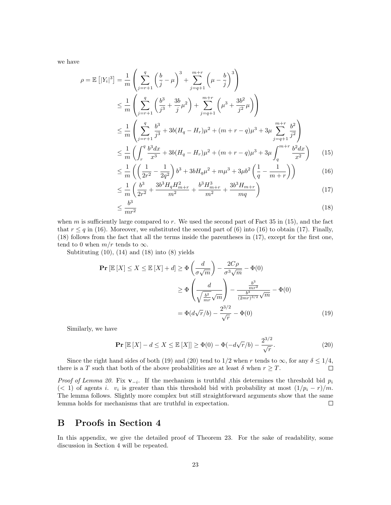we have

$$
\rho = \mathbb{E}\left[|Y_i|^3\right] = \frac{1}{m} \left( \sum_{j=r+1}^q \left(\frac{b}{j} - \mu\right)^3 + \sum_{j=q+1}^{m+r} \left(\mu - \frac{b}{j}\right)^3 \right)
$$
  
\n
$$
\leq \frac{1}{m} \left( \sum_{j=r+1}^q \left(\frac{b^3}{j^3} + \frac{3b}{j}\mu^2\right) + \sum_{j=q+1}^{m+r} \left(\mu^3 + \frac{3b^2}{j^2}\mu\right) \right)
$$
  
\n
$$
\leq \frac{1}{m} \left( \sum_{j=r+1}^q \frac{b^3}{j^3} + 3b(H_q - H_r)\mu^2 + (m+r-q)\mu^3 + 3\mu \sum_{j=q+1}^{m+r} \frac{b^2}{j^2} \right)
$$
  
\n
$$
\leq \frac{1}{m} \left( \int_r^q \frac{b^3 dx}{x^3} + 3b(H_q - H_r)\mu^2 + (m+r-q)\mu^3 + 3\mu \int_q^{m+r} \frac{b^2 dx}{x^2} \right) \qquad (15)
$$
  
\n
$$
\leq \frac{1}{m} \left( \left(\frac{1}{2\pi^2} - \frac{1}{2\pi^2}\right)b^3 + 3bH_q\mu^2 + m\mu^3 + 3\mu b^2 \left(\frac{1}{2} - \frac{1}{2\pi^2}\right)\right) \qquad (16)
$$

$$
\leq \frac{1}{m} \left( \left( \frac{1}{2r^2} - \frac{1}{2q^2} \right) b^3 + 3bH_q \mu^2 + m\mu^3 + 3\mu b^2 \left( \frac{1}{q} - \frac{1}{m+r} \right) \right) \tag{16}
$$
\n
$$
\leq 1 \left( b^3 - 3b^3 H_q H_{m+r}^2 + b^3 H_{m+r}^3 + 3b^3 H_{m+r} \right) \tag{17}
$$

$$
\leq \frac{1}{m} \left( \frac{b^3}{2r^2} + \frac{3b^3 H_q H_{m+r}^2}{m^2} + \frac{b^3 H_{m+r}^3}{m^2} + \frac{3b^3 H_{m+r}}{mq} \right) \tag{17}
$$

$$
\frac{b^3}{mr^2} \tag{18}
$$

when  $m$  is sufficiently large compared to  $r$ . We used the second part of Fact 35 in (15), and the fact that  $r \leq q$  in (16). Moreover, we substituted the second part of (6) into (16) to obtain (17). Finally, (18) follows from the fact that all the terms inside the parentheses in (17), except for the first one, tend to 0 when  $m/r$  tends to  $\infty$ .

Subtituting  $(10)$ ,  $(14)$  and  $(18)$  into  $(8)$  yields

≤

$$
\mathbf{Pr}\left[\mathbb{E}\left[X\right] \le X \le \mathbb{E}\left[X\right] + d\right] \ge \Phi\left(\frac{d}{\sigma\sqrt{m}}\right) - \frac{2C\rho}{\sigma^3\sqrt{m}} - \Phi(0)
$$

$$
\ge \Phi\left(\frac{d}{\sqrt{\frac{b^2}{mr}}\sqrt{m}}\right) - \frac{\frac{b^3}{mr^2}}{\frac{b^3}{(2mr)^{3/2}}\sqrt{m}} - \Phi(0)
$$

$$
= \Phi(d\sqrt{r}/b) - \frac{2^{3/2}}{\sqrt{r}} - \Phi(0) \tag{19}
$$

Similarly, we have

$$
\Pr\left[\mathbb{E}\left[X\right] - d \le X \le \mathbb{E}\left[X\right]\right] \ge \Phi(0) - \Phi(-d\sqrt{r}/b) - \frac{2^{3/2}}{\sqrt{r}}.\tag{20}
$$

Since the right hand sides of both (19) and (20) tend to 1/2 when r tends to  $\infty$ , for any  $\delta \leq 1/4$ , re is a T such that both of the above probabilities are at least  $\delta$  when  $r > T$ . there is a T such that both of the above probabilities are at least  $\delta$  when  $r \geq T$ .

*Proof of Lemma 20.* Fix  $\mathbf{v}_{-i}$ . If the mechanism is truthful, this determines the threshold bid  $p_i$ (< 1) of agents *i.*  $v_i$  is greater than this threshold bid with probability at most  $\left(\frac{1}{p_i} - r\right)/m$ . The lemma follows. Slightly more complex but still straightforward arguments show that the same lemma holds for mechanisms that are truthful in expectation.  $\Box$ 

# B Proofs in Section 4

In this appendix, we give the detailed proof of Theorem 23. For the sake of readability, some discussion in Section 4 will be repeated.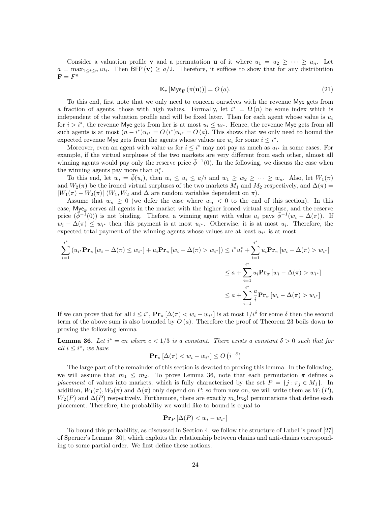Consider a valuation profile **v** and a permutation **u** of it where  $u_1 = u_2 \geq \cdots \geq u_n$ . Let  $a = \max_{1 \leq i \leq n} i u_i$ . Then BFP (v)  $\geq a/2$ . Therefore, it suffices to show that for any distribution  $\mathbf{F} = F^n$ 

$$
\mathbb{E}_{\pi}\left[\mathsf{Mye}_{\mathbf{F}}\left(\pi(\mathbf{u})\right)\right] = O\left(a\right).
$$
\n(21)

To this end, first note that we only need to concern ourselves with the revenue Mye gets from a fraction of agents, those with high values. Formally, let  $i^* = \Omega(n)$  be some index which is independent of the valuation profile and will be fixed later. Then for each agent whose value is  $u_i$ for  $i > i^*$ , the revenue Mye gets from her is at most  $u_i \leq u_{i^*}$ . Hence, the revenue Mye gets from all such agents is at most  $(n - i^*)u_{i^*} = O(i^*)u_{i^*} = O(a)$ . This shows that we only need to bound the expected revenue Mye gets from the agents whose values are  $u_i$  for some  $i \leq i^*$ .

Moreover, even an agent with value  $u_i$  for  $i \leq i^*$  may not pay as much as  $u_{i^*}$  in some cases. For example, if the virtual surpluses of the two markets are very different from each other, almost all winning agents would pay only the reserve price  $\bar{\phi}^{-1}(0)$ . In the following, we discuss the case when the winning agents pay more than  $u_i^*$ .

To this end, let  $w_i = \phi(u_i)$ , then  $w_i \leq u_i \leq a/i$  and  $w_1 \geq w_2 \geq \cdots \geq w_n$ . Also, let  $W_1(\pi)$ and  $W_2(\pi)$  be the ironed virtual surpluses of the two markets  $M_1$  and  $M_2$  respectively, and  $\Delta(\pi)$  $|W_1(\pi) - W_2(\pi)|$  (W<sub>1</sub>, W<sub>2</sub> and  $\Delta$  are random variables dependent on  $\pi$ ).

Assume that  $w_n \geq 0$  (we defer the case where  $w_n < 0$  to the end of this section). In this case,  $M_{\rm V}$  serves all agents in the market with the higher ironed virtual surpluse, and the reserve price  $(\bar{\phi}^{-1}(0))$  is not binding. Thefore, a winning agent with value  $u_i$  pays  $\bar{\phi}^{-1}(w_i - \Delta(\pi))$ . If  $w_i - \Delta(\pi) \leq w_{i^*}$  then this payment is at most  $u_{i^*}$ . Otherwise, it is at most  $u_i$ . Therefore, the expected total payment of the winning agents whose values are at least  $u_{i^*}$  is at most

$$
\sum_{i=1}^{i^*} (u_{i^*} \mathbf{Pr}_{\pi} [w_i - \Delta(\pi) \le w_{i^*}] + u_i \mathbf{Pr}_{\pi} [w_i - \Delta(\pi) > w_{i^*}]) \le i^* u_i^* + \sum_{i=1}^{i^*} u_i \mathbf{Pr}_{\pi} [w_i - \Delta(\pi) > w_{i^*}]
$$
  

$$
\le a + \sum_{i=1}^{i^*} u_i \mathbf{Pr}_{\pi} [w_i - \Delta(\pi) > w_{i^*}]
$$
  

$$
\le a + \sum_{i=1}^{i^*} \frac{a}{i} \mathbf{Pr}_{\pi} [w_i - \Delta(\pi) > w_{i^*}]
$$

If we can prove that for all  $i \leq i^*$ ,  $\Pr_{\pi} [\Delta(\pi) \lt w_i - w_{i^*}]$  is at most  $1/i^{\delta}$  for some  $\delta$  then the second term of the above sum is also bounded by  $O(a)$ . Therefore the proof of Theorem 23 boils down to proving the following lemma

**Lemma 36.** Let  $i^* = cn$  where  $c < 1/3$  is a constant. There exists a constant  $\delta > 0$  such that for all  $i \leq i^*$ , we have

$$
\mathbf{Pr}_{\pi} \left[ \Delta(\pi) < w_i - w_{i^*} \right] \le O\left(i^{-\delta}\right)
$$

The large part of the remainder of this section is devoted to proving this lemma. In the following, we will assume that  $m_1 \leq m_2$ . To prove Lemma 36, note that each permutation  $\pi$  defines a placement of values into markets, which is fully characterized by the set  $P = \{j : \pi_j \in M_1\}$ . In addition,  $W_1(\pi)$ ,  $W_2(\pi)$  and  $\Delta(\pi)$  only depend on P; so from now on, we will write them as  $W_1(P)$ ,  $W_2(P)$  and  $\Delta(P)$  respectively. Furthemore, there are exactly  $m_1!m_2!$  permutations that define each placement. Therefore, the probability we would like to bound is equal to

$$
\mathbf{Pr}_P\left[\Delta(P) < w_i - w_{i^*}\right]
$$

To bound this probability, as discussed in Section 4, we follow the structure of Lubell's proof [27] of Sperner's Lemma [30], which exploits the relationship between chains and anti-chains corresponding to some partial order. We first define these notions.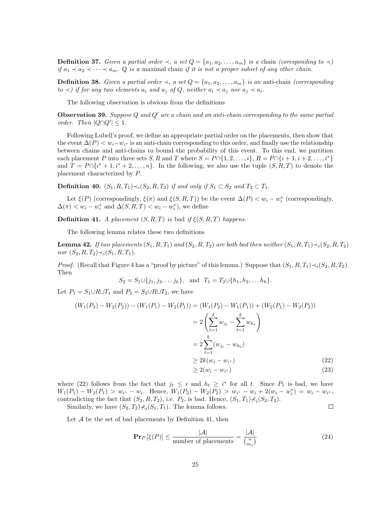**Definition 37.** Given a partial order  $\prec$ , a set  $Q = \{a_1, a_2, \ldots, a_m\}$  is a chain (coresponding to  $\prec$ ) if  $a_1 \prec a_2 \prec \cdots \prec a_m$ . Q is a maximal chain if it is not a proper subset of any other chain.

**Definition 38.** Given a partial order  $\prec$ , a set  $Q = \{a_1, a_2, \ldots, a_m\}$  is an anti-chain (corresponding  $to \prec$ ) if for any two elements  $a_i$  and  $a_j$  of Q, neither  $a_i \prec a_j$  nor  $a_j \prec a_i$ .

The following observation is obvious from the definitions

**Observation 39.** Suppose Q and  $Q'$  are a chain and an anti-chain corresponding to the same partial order. Then  $|Q \cap Q'| \leq 1$ .

Following Lubell's proof, we define an appropriate partial order on the placements, then show that the event  $\Delta(P) < w_i - w_{i^*}$  is an anti-chain corresponding to this order, and finally use the relationship between chains and anti-chains to bound the probability of this event. To this end, we partition each placement P into three sets S, R and T where  $S = P \cap \{1, 2, \ldots, i\}$ ,  $R = P \cap \{i + 1, i + 2, \ldots, i^*\}$ and  $T = P \cap \{i^* + 1, i^* + 2, \ldots, n\}$ . In the following, we also use the tuple  $(S, R, T)$  to denote the placement characterized by P.

**Definition 40.**  $(S_1, R, T_1) \prec_i (S_2, R, T_2)$  if and only if  $S_1 \subset S_2$  and  $T_2 \subset T_1$ .

Let  $\xi(P)$  (correspondingly,  $\xi(\pi)$  and  $\xi(S, R, T)$ ) be the event  $\Delta(P) < w_i - w_i^*$  (correspondingly,  $\Delta(\pi) < w_i - w_i^*$  and  $\Delta(S, R, T) < w_i - w_i^*$ ), we define

**Definition 41.** A placement  $(S, R, T)$  is bad if  $\xi(S, R, T)$  happens.

The following lemma relates these two definitions

**Lemma 42.** If two placements  $(S_1, R, T_1)$  and  $(S_2, R, T_2)$  are both bad then neither  $(S_1, R, T_1) \prec_i (S_2, R, T_2)$ nor  $(S_2, R, T_2) \prec_i (S_1, R, T_1)$ .

*Proof.* (Recall that Figure 4 has a "proof by picture" of this lemma.) Suppose that  $(S_1, R, T_1) \prec_i (S_2, R, T_2)$ . Then

$$
S_2 = S_1 \cup \{j_1, j_2, \ldots j_k\}, \text{ and } T_1 = T_2 \cup \{h_1, h_2, \ldots h_k\}.
$$

Let  $P_1 = S_1 \cup R \cup T_1$  and  $P_2 = S_2 \cup R \cup T_2$ , we have

$$
(W_1(P_2) - W_2(P_2)) - (W_1(P_1) - W_2(P_1)) = (W_1(P_2) - W_1(P_1)) + (W_2(P_1) - W_2(P_2))
$$
  
= 
$$
2\left(\sum_{t=1}^k w_{j_t} - \sum_{t=1}^k w_{h_t}\right)
$$
  
= 
$$
2\sum_{t=1}^k (w_{j_t} - w_{h_t})
$$
  

$$
\geq 2k(w_i - w_{i^*})
$$
  

$$
\geq 2(w_i - w_{i^*})
$$
 (22)

where (22) follows from the fact that  $j_t \leq i$  and  $h_t \geq i^*$  for all t. Since  $P_1$  is bad, we have  $W_1(P_1) - W_2(P_1) > w_{i^*} - w_i$ . Hence,  $W_1(P_2) - W_2(P_2) > w_{i^*} - w_i + 2(w_i - w_i^*) = w_i - w_{i^*}$ contradicting the fact that  $(S_2, R, T_2)$ , i.e.  $P_2$ , is bad. Hence,  $(S_1, T_1) \star_i (S_2, T_2)$ .  $\Box$ Similarly, we have  $(S_2, T_2) \mid \mathcal{A}_i(S_1, T_1)$ . The lemma follows.

Let  $A$  be the set of bad placements by Definition 41, then

$$
\mathbf{Pr}_P\left[\xi(P)\right] \le \frac{|\mathcal{A}|}{\text{number of placements}} = \frac{|\mathcal{A}|}{\binom{n}{m_1}}\tag{24}
$$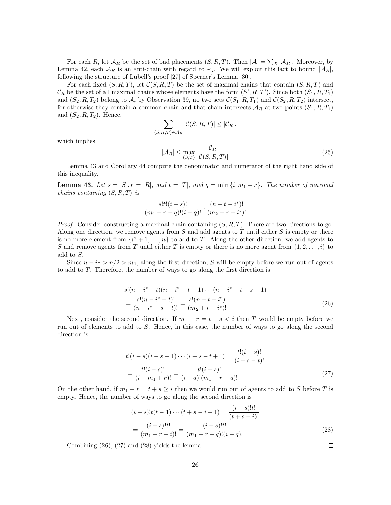For each R, let  $\mathcal{A}_R$  be the set of bad placements  $(S, R, T)$ . Then  $|\mathcal{A}| = \sum_R |\mathcal{A}_R|$ . Moreover, by Lemma 42, each  $\mathcal{A}_R$  is an anti-chain with regard to  $\prec_i$ . We will exploit this fact to bound  $|\mathcal{A}_R|$ , following the structure of Lubell's proof [27] of Sperner's Lemma [30].

For each fixed  $(S, R, T)$ , let  $C(S, R, T)$  be the set of maximal chains that contain  $(S, R, T)$  and  $\mathcal{C}_R$  be the set of all maximal chains whose elements have the form  $(S', R, T')$ . Since both  $(S_1, R, T_1)$ and  $(S_2, R, T_2)$  belong to A, by Observation 39, no two sets  $\mathcal{C}(S_1, R, T_1)$  and  $\mathcal{C}(S_2, R, T_2)$  intersect, for otherwise they contain a common chain and that chain intersects  $\mathcal{A}_R$  at two points  $(S_1, R, T_1)$ and  $(S_2, R, T_2)$ . Hence,

$$
\sum_{(S,R,T)\in\mathcal{A}_R} |\mathcal{C}(S,R,T)| \leq |\mathcal{C}_R|,
$$

which implies

$$
|\mathcal{A}_R| \le \max_{(S,T)} \frac{|\mathcal{C}_R|}{|\mathcal{C}(S,R,T)|} \tag{25}
$$

Lemma 43 and Corollary 44 compute the denominator and numerator of the right hand side of this inequality.

**Lemma 43.** Let  $s = |S|$ ,  $r = |R|$ , and  $t = |T|$ , and  $q = \min\{i, m_1 - r\}$ . The number of maximal chains containing  $(S, R, T)$  is

$$
\frac{s!t!(i-s)!}{(m_1-r-q)!(i-q)!} \cdot \frac{(n-t-i^*)!}{(m_2+r-i^*)!}
$$

*Proof.* Consider constructing a maximal chain containing  $(S, R, T)$ . There are two directions to go. Along one direction, we remove agents from  $S$  and add agents to  $T$  until either  $S$  is empty or there is no more element from  $\{i^*+1,\ldots,n\}$  to add to T. Along the other direction, we add agents to S and remove agents from T until either T is empty or there is no more agent from  $\{1, 2, \ldots, i\}$  to add to S.

Since  $n - i * > n/2 > m_1$ , along the first direction, S will be empty before we run out of agents to add to T. Therefore, the number of ways to go along the first direction is

$$
s!(n-i^*-t)(n-i^*-t-1)\cdots(n-i^*-t-s+1)
$$
  
= 
$$
\frac{s!(n-i^*-t)!}{(n-i^*-s-t)!} = \frac{s!(n-t-i^*)}{(m_2+r-i^*)!}
$$
 (26)

Next, consider the second direction. If  $m_1 - r = t + s < i$  then T would be empty before we run out of elements to add to S. Hence, in this case, the number of ways to go along the second direction is

$$
t!(i-s)(i-s-1)\cdots(i-s-t+1) = \frac{t!(i-s)!}{(i-s-t)!}
$$

$$
= \frac{t!(i-s)!}{(i-m_1+r)!} = \frac{t!(i-s)!}{(i-q)!(m_1-r-q)!}
$$
(27)

On the other hand, if  $m_1 - r = t + s \geq i$  then we would run out of agents to add to S before T is empty. Hence, the number of ways to go along the second direction is

$$
(i-s)!t(t-1)\cdots(t+s-i+1) = \frac{(i-s)!t!}{(t+s-i)!}
$$

$$
= \frac{(i-s)!t!}{(m_1-r-i)!} = \frac{(i-s)!t!}{(m_1-r-q)!(i-q)!}
$$
(28)

Combining (26), (27) and (28) yields the lemma.

 $\Box$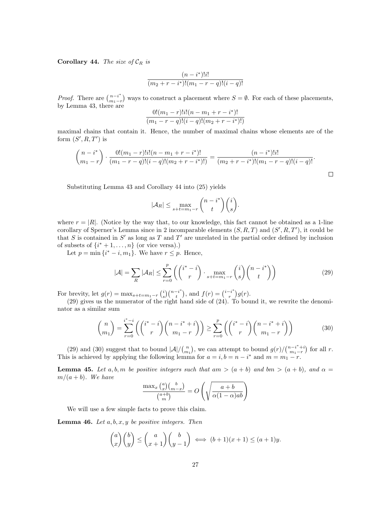Corollary 44. The size of  $\mathcal{C}_R$  is

$$
\frac{(n-i^*)!i!}{(m_2+r-i^*)!(m_1-r-q)!(i-q)!}
$$

*Proof.* There are  $\binom{n-i^*}{m_1-r}$  ways to construct a placement where  $S = \emptyset$ . For each of these placements, by Lemma 43, there are

$$
\frac{0!(m_1-r)!i!(n-m_1+r-i^*)!}{(m_1-r-q)!(i-q)!(m_2+r-i^*)!}
$$

maximal chains that contain it. Hence, the number of maximal chains whose elements are of the form  $(S', R, T')$  is

$$
\binom{n-i^*}{m_1-r} \cdot \frac{0!(m_1-r)!i!(n-m_1+r-i^*)!}{(m_1-r-q)!(i-q)!(m_2+r-i^*)!} = \frac{(n-i^*)!i!}{(m_2+r-i^*)!(m_1-r-q)!(i-q)!}.
$$

Substituting Lemma 43 and Corollary 44 into (25) yields

$$
|\mathcal{A}_R| \le \max_{s+t=m_1-r} {n-i^* \choose t}{i \choose s}.
$$

where  $r = |R|$ . (Notice by the way that, to our knowledge, this fact cannot be obtained as a 1-line corollary of Sperner's Lemma since in 2 incomparable elements  $(S, R, T)$  and  $(S', R, T')$ , it could be that S is contained in S' as long as T and T' are unrelated in the partial order defined by inclusion of subsets of  $\{i^* + 1, \ldots, n\}$  (or vice versa).)

Let  $p = \min\{i^* - i, m_1\}$ . We have  $r \leq p$ . Hence,

$$
|\mathcal{A}| = \sum_{R} |\mathcal{A}_R| \le \sum_{r=0}^p \left( \binom{i^*-i}{r} \cdot \max_{s+t=m_1-r} \binom{i}{s} \binom{n-i^*}{t} \right) \tag{29}
$$

For brevity, let  $g(r) = \max_{s+t=m_1-r} {i \choose s} {n-i \choose t}$ , and  $f(r) = {i-i \choose r} g(r)$ .

(29) gives us the numerator of the right hand side of (24). To bound it, we rewrite the denominator as a similar sum

$$
\binom{n}{m_1} = \sum_{r=0}^{i^*-i} \left( \binom{i^*-i}{r} \binom{n-i^*+i}{m_1-r} \right) \ge \sum_{r=0}^p \left( \binom{i^*-i}{r} \binom{n-i^*+i}{m_1-r} \right) \tag{30}
$$

(29) and (30) suggest that to bound  $|\mathcal{A}|/{\binom{n}{m_1}}$ , we can attempt to bound  $g(r)/{\binom{n-i}{m_1-r}}$  $\binom{n-i^*+i}{m_1-r}$  for all r. This is achieved by applying the following lemma for  $a = i$ ,  $b = n - i^*$  and  $m = m_1 - r$ .

**Lemma 45.** Let a, b, m be positive integers such that am  $>(a + b)$  and bm  $>(a + b)$ , and  $\alpha =$  $m/(a + b)$ . We have

$$
\frac{\max_x {a \choose x} {b \choose m-x}}{{a+b \choose m}} = O\left(\sqrt{\frac{a+b}{\alpha(1-\alpha)ab}}\right)
$$

We will use a few simple facts to prove this claim.

**Lemma 46.** Let  $a, b, x, y$  be positive integers. Then

$$
\binom{a}{x}\binom{b}{y} \le \binom{a}{x+1}\binom{b}{y-1} \iff (b+1)(x+1) \le (a+1)y.
$$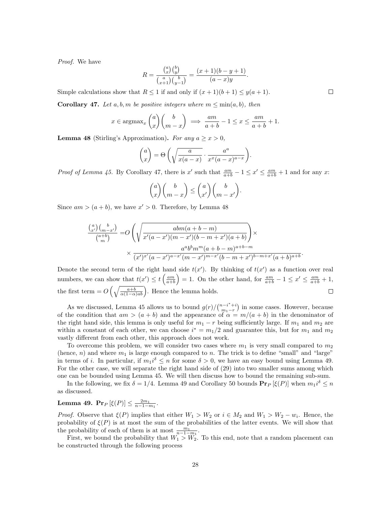Proof. We have

$$
R = \frac{\binom{a}{x}\binom{b}{y}}{\binom{a}{x+1}\binom{b}{y-1}} = \frac{(x+1)(b-y+1)}{(a-x)y}.
$$

Simple calculations show that  $R \leq 1$  if and only if  $(x + 1)(b + 1) \leq y(a + 1)$ .

**Corollary 47.** Let a, b, m be positive integers where  $m \leq \min(a, b)$ , then

$$
x \in \operatorname{argmax}_{x} \binom{a}{x} \binom{b}{m-x} \implies \frac{am}{a+b} - 1 \le x \le \frac{am}{a+b} + 1.
$$

**Lemma 48** (Stirling's Approximation). For any  $a > x > 0$ ,

$$
\binom{a}{x} = \Theta\left(\sqrt{\frac{a}{x(a-x)}} \cdot \frac{a^a}{x^x(a-x)^{a-x}}\right).
$$

*Proof of Lemma 45.* By Corollary 47, there is x' such that  $\frac{am}{a+b} - 1 \le x' \le \frac{am}{a+b} + 1$  and for any x:

$$
\binom{a}{x}\binom{b}{m-x} \leq \binom{a}{x'}\binom{b}{m-x'}.
$$

Since  $am > (a + b)$ , we have  $x' > 0$ . Therefore, by Lemma 48

$$
\frac{\binom{a}{x'}\binom{b}{m-x'}}{\binom{a+b}{m}} = O\left(\sqrt{\frac{abm(a+b-m)}{x'(a-x')(m-x')(b-m+x')(a+b)}}\right) \times \frac{a^ab^b m^m (a+b-m)^{a+b-m}}{\binom{a'b^b}{x'}(a-x')^{a-x'}(m-x')^{m-x'}(b-m+x')^{b-m+x'}(a+b)^{a+b}}.
$$

Denote the second term of the right hand side  $t(x')$ . By thinking of  $t(x')$  as a function over real numbers, we can show that  $t(x') \le t\left(\frac{am}{a+b}\right) = 1$ . On the other hand, for  $\frac{am}{a+b} - 1 \le x' \le \frac{am}{a+b} + 1$ , the first term =  $O\left(\sqrt{\frac{a+b}{\alpha(1-\alpha)ab}}\right)$ . Hence the lemma holds.  $\Box$ 

As we discussed, Lemma 45 allows us to bound  $g(r)/\binom{n-i^*+i}{m}$  $\binom{n-i}{m_1-r}$  in some cases. However, because of the condition that  $am > (a + b)$  and the appearance of  $\alpha = m/(a + b)$  in the denominator of the right hand side, this lemma is only useful for  $m_1 - r$  being sufficiently large. If  $m_1$  and  $m_2$  are within a constant of each other, we can choose  $i^* = m_1/2$  and guarantee this, but for  $m_1$  and  $m_2$ vastly different from each other, this approach does not work.

To overcome this problem, we will consider two cases where  $m_1$  is very small compared to  $m_2$ (hence,  $n$ ) and where  $m_1$  is large enough compared to n. The trick is to define "small" and "large" in terms of *i*. In particular, if  $m_1 i^{\delta} \leq n$  for some  $\delta > 0$ , we have an easy bound using Lemma 49. For the other case, we will separate the right hand side of (29) into two smaller sums among which one can be bounded using Lemma 45. We will then discuss how to bound the remaining sub-sum.

In the following, we fix  $\delta = 1/4$ . Lemma 49 and Corollary 50 bounds  $\Pr_P [\xi(P)]$  when  $m_1 i^{\delta} \leq n$ as discussed.

#### Lemma 49.  $Pr_P [\xi(P)] \leq \frac{2m_1}{n-1-m_1}$ .

*Proof.* Observe that  $\xi(P)$  implies that either  $W_1 > W_2$  or  $i \in M_2$  and  $W_1 > W_2 - w_i$ . Hence, the probability of  $\xi(P)$  is at most the sum of the probabilities of the latter events. We will show that the probability of each of them is at most  $\frac{m_1}{n-1-m_1}$ .

First, we bound the probability that  $W_1 > W_2$ . To this end, note that a random placement can be constructed through the following process

 $\Box$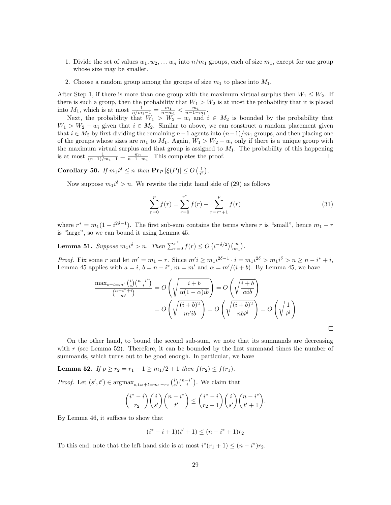- 1. Divide the set of values  $w_1, w_2, \ldots w_n$  into  $n/m_1$  groups, each of size  $m_1$ , except for one group whose size may be smaller.
- 2. Choose a random group among the groups of size  $m_1$  to place into  $M_1$ .

After Step 1, if there is more than one group with the maximum virtual surplus then  $W_1 \leq W_2$ . If there is such a group, then the probability that  $W_1 > W_2$  is at most the probability that it is placed into  $M_1$ , which is at most  $\frac{1}{n/m_1-1} = \frac{m_1}{n-m_1} < \frac{m_1}{n-1-m_1}$ .

Next, the probability that  $W_1 > W_2 - w_i$  and  $i \in M_2$  is bounded by the probability that  $W_1 > W_2 - w_i$  given that  $i \in M_2$ . Similar to above, we can construct a random placement given that  $i \in M_2$  by first dividing the remaining  $n-1$  agents into  $(n-1)/m_1$  groups, and then placing one of the groups whose sizes are  $m_1$  to  $M_1$ . Again,  $W_1 > W_2 - w_i$  only if there is a unique group with the maximum virtual surplus and that group is assigned to  $M_1$ . The probability of this happening is at most  $\frac{1}{(n-1)/m_1-1} = \frac{m_1}{n-1-m_1}$ . This completes the proof.

**Corollary 50.** If  $m_1 i^{\delta} \leq n$  then  $\Pr_P [\xi(P)] \leq O\left(\frac{1}{i^{\delta}}\right)$ .

Now suppose  $m_1 i^{\delta} > n$ . We rewrite the right hand side of (29) as follows

$$
\sum_{r=0}^{p} f(r) = \sum_{r=0}^{r^*} f(r) + \sum_{r=r^*+1}^{p} f(r)
$$
\n(31)

where  $r^* = m_1(1 - i^{2\delta - 1})$ . The first sub-sum contains the terms where r is "small", hence  $m_1 - r$ is "large", so we can bound it using Lemma 45.

**Lemma 51.** Suppose  $m_1 i^{\delta} > n$ . Then  $\sum_{r=0}^{r^*} f(r) \leq O\left(i^{-\delta/2}\right) {n \choose m_1}$ .

*Proof.* Fix some r and let  $m' = m_1 - r$ . Since  $m'i \ge m_1 i^{2\delta - 1} \cdot i = m_1 i^{2\delta} > m_1 i^{\delta} > n \ge n - i^* + i$ , Lemma 45 applies with  $a = i$ ,  $b = n - i^*$ ,  $m = m'$  and  $\alpha = m'/(i + b)$ . By Lemma 45, we have

$$
\frac{\max_{s+t=m'}\binom{i}{s}\binom{n-i^*}{t}}{\binom{n-i^*+i}{m'}} = O\left(\sqrt{\frac{i+b}{\alpha(1-\alpha)ib}}\right) = O\left(\sqrt{\frac{i+b}{\alpha ib}}\right)
$$

$$
= O\left(\sqrt{\frac{(i+b)^2}{m'ib}}\right) = O\left(\sqrt{\frac{(i+b)^2}{nb^{i\delta}}}\right) = O\left(\sqrt{\frac{1}{i^{\delta}}}\right)
$$

On the other hand, to bound the second sub-sum, we note that its summands are decreasing with  $r$  (see Lemma 52). Therefore, it can be bounded by the first summand times the number of summands, which turns out to be good enough. In particular, we have

Lemma 52. If  $p \ge r_2 = r_1 + 1 \ge m_1/2 + 1$  then  $f(r_2) \le f(r_1)$ .

*Proof.* Let  $(s', t') \in \operatorname{argmax}_{s,t:s+t=m_1-r_2} \binom{i}{s} \binom{n-i}{t}$ . We claim that

$$
\binom{i^*-i}{r_2}\binom{i}{s'}\binom{n-i^*}{t'} \leq \binom{i^*-i}{r_2-1}\binom{i}{s'}\binom{n-i^*}{t'+1}.
$$

By Lemma 46, it suffices to show that

$$
(i^* - i + 1)(t' + 1) \le (n - i^* + 1)r_2
$$

To this end, note that the left hand side is at most  $i^*(r_1 + 1) \leq (n - i^*)r_2$ .